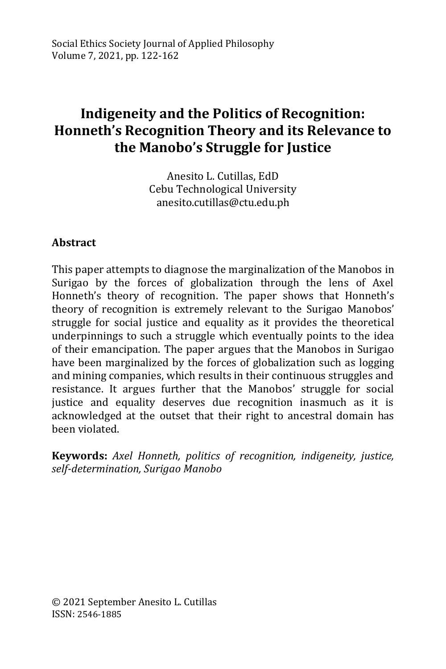# **Indigeneity and the Politics of Recognition: Honneth's Recognition Theory and its Relevance to the Manobo's Struggle for Justice**

Anesito L. Cutillas, EdD Cebu Technological University anesito.cutillas@ctu.edu.ph

## **Abstract**

This paper attempts to diagnose the marginalization of the Manobos in Surigao by the forces of globalization through the lens of Axel Honneth's theory of recognition. The paper shows that Honneth's theory of recognition is extremely relevant to the Surigao Manobos' struggle for social justice and equality as it provides the theoretical underpinnings to such a struggle which eventually points to the idea of their emancipation. The paper argues that the Manobos in Surigao have been marginalized by the forces of globalization such as logging and mining companies, which results in their continuous struggles and resistance. It argues further that the Manobos' struggle for social justice and equality deserves due recognition inasmuch as it is acknowledged at the outset that their right to ancestral domain has been violated.

**Keywords:** *Axel Honneth, politics of recognition, indigeneity, justice, self-determination, Surigao Manobo*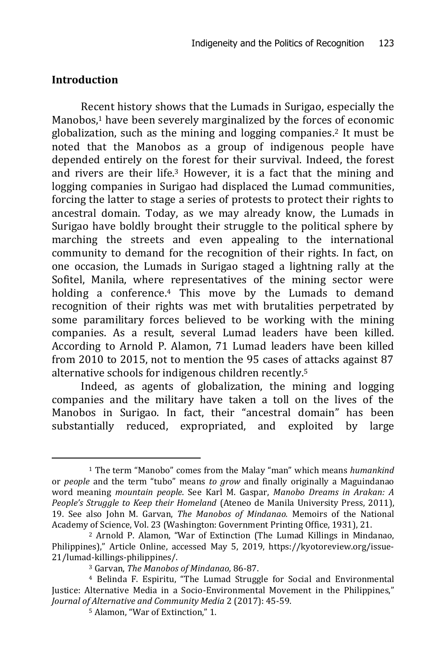#### **Introduction**

-

Recent history shows that the Lumads in Surigao, especially the Manobos, <sup>1</sup> have been severely marginalized by the forces of economic globalization, such as the mining and logging companies.<sup>2</sup> It must be noted that the Manobos as a group of indigenous people have depended entirely on the forest for their survival. Indeed, the forest and rivers are their life.<sup>3</sup> However, it is a fact that the mining and logging companies in Surigao had displaced the Lumad communities, forcing the latter to stage a series of protests to protect their rights to ancestral domain. Today, as we may already know, the Lumads in Surigao have boldly brought their struggle to the political sphere by marching the streets and even appealing to the international community to demand for the recognition of their rights. In fact, on one occasion, the Lumads in Surigao staged a lightning rally at the Sofitel, Manila, where representatives of the mining sector were holding a conference.<sup>4</sup> This move by the Lumads to demand recognition of their rights was met with brutalities perpetrated by some paramilitary forces believed to be working with the mining companies. As a result, several Lumad leaders have been killed. According to Arnold P. Alamon, 71 Lumad leaders have been killed from 2010 to 2015, not to mention the 95 cases of attacks against 87 alternative schools for indigenous children recently.<sup>5</sup>

Indeed, as agents of globalization, the mining and logging companies and the military have taken a toll on the lives of the Manobos in Surigao. In fact, their "ancestral domain" has been substantially reduced, expropriated, and exploited by large

<sup>1</sup> The term "Manobo" comes from the Malay "man" which means *humankind* or *people* and the term "tubo" means *to grow* and finally originally a Maguindanao word meaning *mountain people*. See Karl M. Gaspar, *Manobo Dreams in Arakan: A People's Struggle to Keep their Homeland* (Ateneo de Manila University Press, 2011), 19. See also John M. Garvan, *The Manobos of Mindanao.* Memoirs of the National Academy of Science, Vol. 23 (Washington: Government Printing Office, 1931), 21.

<sup>2</sup> Arnold P. Alamon, "War of Extinction (The Lumad Killings in Mindanao, Philippines)," Article Online, accessed May 5, 2019, [https://kyotoreview.org/issue-](https://kyotoreview.org/issue-21/lumad-killings-philippines/)[21/lumad-killings-philippines/.](https://kyotoreview.org/issue-21/lumad-killings-philippines/)

<sup>3</sup> Garvan, *The Manobos of Mindanao,* 86-87.

<sup>4</sup> Belinda F. Espiritu, "The Lumad Struggle for Social and Environmental Justice: Alternative Media in a Socio-Environmental Movement in the Philippines," *Journal of Alternative and Community Media* 2 (2017): 45-59.

<sup>5</sup> Alamon, "War of Extinction," 1.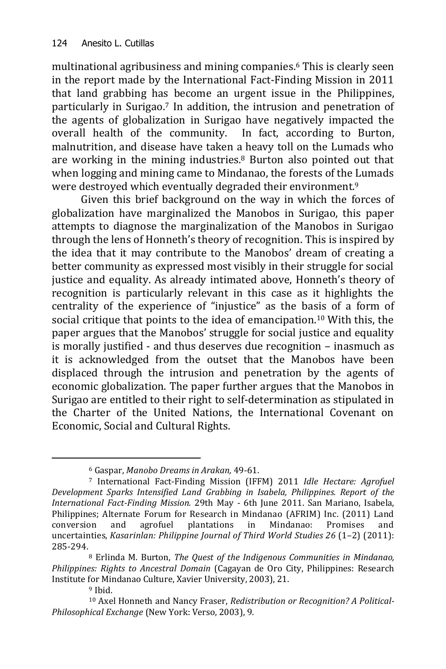multinational agribusiness and mining companies.<sup>6</sup> This is clearly seen in the report made by the International Fact-Finding Mission in 2011 that land grabbing has become an urgent issue in the Philippines, particularly in Surigao. <sup>7</sup> In addition, the intrusion and penetration of the agents of globalization in Surigao have negatively impacted the overall health of the community. In fact, according to Burton, malnutrition, and disease have taken a heavy toll on the Lumads who are working in the mining industries.<sup>8</sup> Burton also pointed out that when logging and mining came to Mindanao, the forests of the Lumads were destroyed which eventually degraded their environment.<sup>9</sup>

Given this brief background on the way in which the forces of globalization have marginalized the Manobos in Surigao, this paper attempts to diagnose the marginalization of the Manobos in Surigao through the lens of Honneth's theory of recognition. This is inspired by the idea that it may contribute to the Manobos' dream of creating a better community as expressed most visibly in their struggle for social justice and equality. As already intimated above, Honneth's theory of recognition is particularly relevant in this case as it highlights the centrality of the experience of "injustice" as the basis of a form of social critique that points to the idea of emancipation.<sup>10</sup> With this, the paper argues that the Manobos' struggle for social justice and equality is morally justified - and thus deserves due recognition – inasmuch as it is acknowledged from the outset that the Manobos have been displaced through the intrusion and penetration by the agents of economic globalization. The paper further argues that the Manobos in Surigao are entitled to their right to self-determination as stipulated in the Charter of the United Nations, the International Covenant on Economic, Social and Cultural Rights.

<sup>6</sup> Gaspar, *Manobo Dreams in Arakan,* 49-61.

<sup>7</sup> International Fact-Finding Mission (IFFM) 2011 *Idle Hectare: Agrofuel Development Sparks Intensified Land Grabbing in Isabela, Philippines. Report of the International Fact-Finding Mission.* 29th May - 6th June 2011. San Mariano, Isabela, Philippines; Alternate Forum for Research in Mindanao (AFRIM) Inc. (2011) Land conversion and agrofuel plantations in Mindanao: Promises and uncertainties, *Kasarinlan: Philippine Journal of Third World Studies 26* (1–2) (2011): 285-294.

<sup>8</sup> Erlinda M. Burton, *The Quest of the Indigenous Communities in Mindanao, Philippines: Rights to Ancestral Domain* (Cagayan de Oro City, Philippines: Research Institute for Mindanao Culture, Xavier University, 2003), 21.

<sup>9</sup> Ibid.

<sup>10</sup> Axel Honneth and Nancy Fraser, *Redistribution or Recognition? A Political-Philosophical Exchange* (New York: Verso, 2003), 9.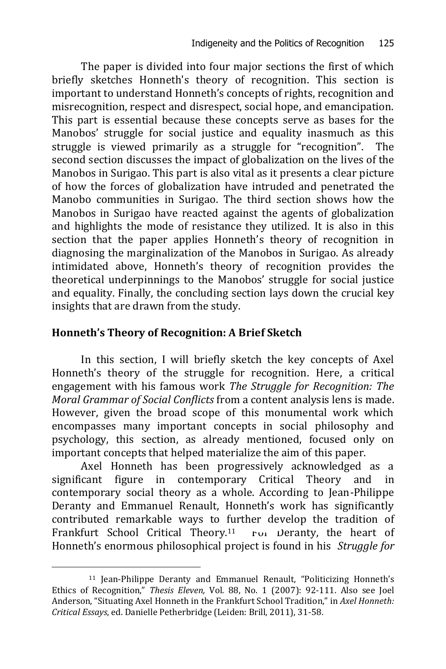The paper is divided into four major sections the first of which briefly sketches Honneth's theory of recognition. This section is important to understand Honneth's concepts of rights, recognition and misrecognition, respect and disrespect, social hope, and emancipation. This part is essential because these concepts serve as bases for the Manobos' struggle for social justice and equality inasmuch as this struggle is viewed primarily as a struggle for "recognition". The second section discusses the impact of globalization on the lives of the Manobos in Surigao. This part is also vital as it presents a clear picture of how the forces of globalization have intruded and penetrated the Manobo communities in Surigao. The third section shows how the Manobos in Surigao have reacted against the agents of globalization and highlights the mode of resistance they utilized. It is also in this section that the paper applies Honneth's theory of recognition in diagnosing the marginalization of the Manobos in Surigao. As already intimidated above, Honneth's theory of recognition provides the theoretical underpinnings to the Manobos' struggle for social justice and equality. Finally, the concluding section lays down the crucial key insights that are drawn from the study.

# **Honneth's Theory of Recognition: A Brief Sketch**

-

In this section, I will briefly sketch the key concepts of Axel Honneth's theory of the struggle for recognition. Here, a critical engagement with his famous work *The Struggle for Recognition: The Moral Grammar of Social Conflicts* from a content analysis lens is made. However, given the broad scope of this monumental work which encompasses many important concepts in social philosophy and psychology, this section, as already mentioned, focused only on important concepts that helped materialize the aim of this paper.

Axel Honneth has been progressively acknowledged as a significant figure in contemporary Critical Theory and in contemporary social theory as a whole. According to Jean-Philippe Deranty and Emmanuel Renault, Honneth's work has significantly contributed remarkable ways to further develop the tradition of Frankfurt School Critical Theory.<sup>11</sup> For Deranty, the heart of Honneth's enormous philosophical project is found in his *Struggle for* 

<sup>11</sup> Jean-Philippe Deranty and Emmanuel Renault, "Politicizing Honneth's Ethics of Recognition," *Thesis Eleven,* Vol. 88, No. 1 (2007): 92-111. Also see Joel Anderson, "Situating Axel Honneth in the Frankfurt School Tradition," in *Axel Honneth: Critical Essays*, ed. Danielle Petherbridge (Leiden: Brill, 2011), 31-58.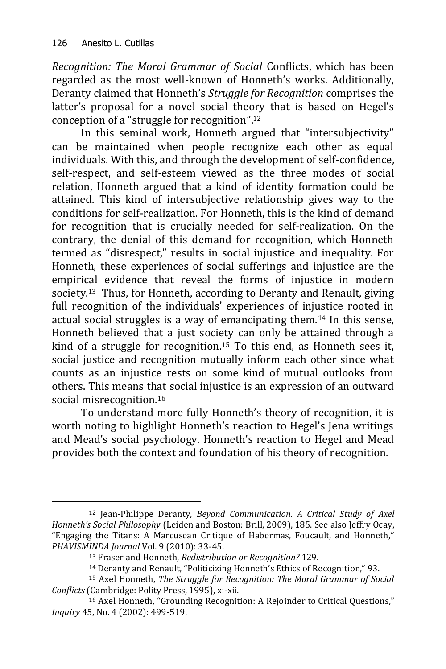-

*Recognition: The Moral Grammar of Social* Conflicts, which has been regarded as the most well-known of Honneth's works. Additionally, Deranty claimed that Honneth's *Struggle for Recognition* comprises the latter's proposal for a novel social theory that is based on Hegel's conception of a "struggle for recognition".<sup>12</sup>

In this seminal work, Honneth argued that "intersubjectivity" can be maintained when people recognize each other as equal individuals. With this, and through the development of self-confidence, self-respect, and self-esteem viewed as the three modes of social relation, Honneth argued that a kind of identity formation could be attained. This kind of intersubjective relationship gives way to the conditions for self-realization. For Honneth, this is the kind of demand for recognition that is crucially needed for self-realization. On the contrary, the denial of this demand for recognition, which Honneth termed as "disrespect," results in social injustice and inequality. For Honneth, these experiences of social sufferings and injustice are the empirical evidence that reveal the forms of injustice in modern society.13 Thus, for Honneth, according to Deranty and Renault, giving full recognition of the individuals' experiences of injustice rooted in actual social struggles is a way of emancipating them.<sup>14</sup> In this sense, Honneth believed that a just society can only be attained through a kind of a struggle for recognition.<sup>15</sup> To this end, as Honneth sees it, social justice and recognition mutually inform each other since what counts as an injustice rests on some kind of mutual outlooks from others. This means that social injustice is an expression of an outward social misrecognition.<sup>16</sup>

To understand more fully Honneth's theory of recognition, it is worth noting to highlight Honneth's reaction to Hegel's Jena writings and Mead's social psychology. Honneth's reaction to Hegel and Mead provides both the context and foundation of his theory of recognition.

<sup>12</sup> Jean-Philippe Deranty, *Beyond Communication. A Critical Study of Axel Honneth's Social Philosophy* (Leiden and Boston: Brill, 2009), 185. See also Jeffry Ocay, "Engaging the Titans: A Marcusean Critique of Habermas, Foucault, and Honneth," *PHAVISMINDA Journal* Vol. 9 (2010): 33-45.

<sup>13</sup> Fraser and Honneth, *Redistribution or Recognition?* 129.

<sup>14</sup> Deranty and Renault, "Politicizing Honneth's Ethics of Recognition," 93.

<sup>15</sup> Axel Honneth, *The Struggle for Recognition: The Moral Grammar of Social Conflicts* (Cambridge: Polity Press, 1995), xi-xii.

<sup>16</sup> Axel Honneth, "Grounding Recognition: A Rejoinder to Critical Questions," *Inquiry* 45, No. 4 (2002): 499-519.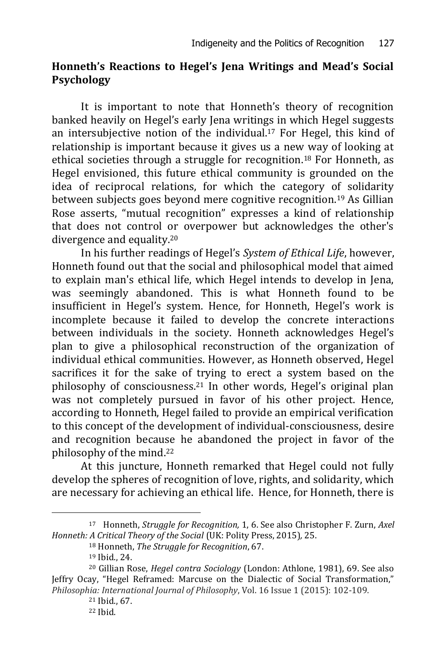## **Honneth's Reactions to Hegel's Jena Writings and Mead's Social Psychology**

It is important to note that Honneth's theory of recognition banked heavily on Hegel's early Jena writings in which Hegel suggests an intersubjective notion of the individual.<sup>17</sup> For Hegel, this kind of relationship is important because it gives us a new way of looking at ethical societies through a struggle for recognition.<sup>18</sup> For Honneth, as Hegel envisioned, this future ethical community is grounded on the idea of reciprocal relations, for which the category of solidarity between subjects goes beyond mere cognitive recognition.<sup>19</sup> As Gillian Rose asserts, "mutual recognition" expresses a kind of relationship that does not control or overpower but acknowledges the other's divergence and equality.<sup>20</sup>

In his further readings of Hegel's *System of Ethical Life*, however, Honneth found out that the social and philosophical model that aimed to explain man's ethical life, which Hegel intends to develop in Jena, was seemingly abandoned. This is what Honneth found to be insufficient in Hegel's system. Hence, for Honneth, Hegel's work is incomplete because it failed to develop the concrete interactions between individuals in the society. Honneth acknowledges Hegel's plan to give a philosophical reconstruction of the organization of individual ethical communities. However, as Honneth observed, Hegel sacrifices it for the sake of trying to erect a system based on the philosophy of consciousness.<sup>21</sup> In other words, Hegel's original plan was not completely pursued in favor of his other project. Hence, according to Honneth, Hegel failed to provide an empirical verification to this concept of the development of individual-consciousness, desire and recognition because he abandoned the project in favor of the philosophy of the mind.<sup>22</sup>

At this juncture, Honneth remarked that Hegel could not fully develop the spheres of recognition of love, rights, and solidarity, which are necessary for achieving an ethical life. Hence, for Honneth, there is

<sup>17</sup> Honneth, *Struggle for Recognition,* 1, 6. See also Christopher F. Zurn, *Axel Honneth: A Critical Theory of the Social* (UK: Polity Press, 2015)*,* 25.

<sup>18</sup> Honneth, *The Struggle for Recognition*, 67.

<sup>19</sup> Ibid., 24.

<sup>20</sup> Gillian Rose, *Hegel contra Sociology* (London: Athlone, 1981), 69. See also Jeffry Ocay, "Hegel Reframed: Marcuse on the Dialectic of Social Transformation," *Philosophia: International Journal of Philosophy*, Vol. 16 Issue 1 (2015): 102-109.

<sup>21</sup> Ibid., 67.

<sup>22</sup> Ibid.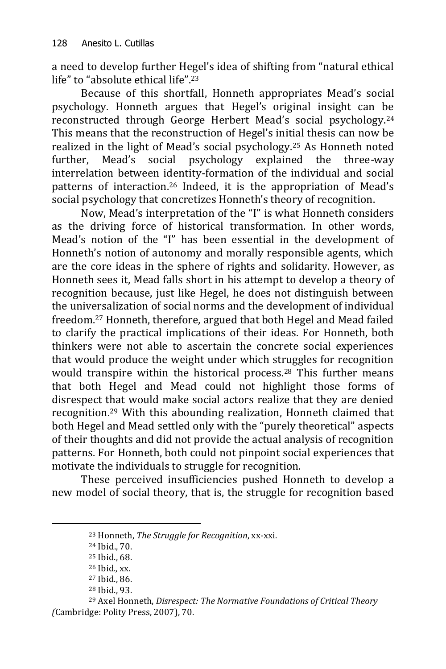a need to develop further Hegel's idea of shifting from "natural ethical life" to "absolute ethical life".<sup>23</sup>

Because of this shortfall, Honneth appropriates Mead's social psychology. Honneth argues that Hegel's original insight can be reconstructed through George Herbert Mead's social psychology. 24 This means that the reconstruction of Hegel's initial thesis can now be realized in the light of Mead's social psychology.<sup>25</sup> As Honneth noted further, Mead's social psychology explained the three-way interrelation between identity-formation of the individual and social patterns of interaction. <sup>26</sup> Indeed, it is the appropriation of Mead's social psychology that concretizes Honneth's theory of recognition.

Now, Mead's interpretation of the "I" is what Honneth considers as the driving force of historical transformation. In other words, Mead's notion of the "I" has been essential in the development of Honneth's notion of autonomy and morally responsible agents, which are the core ideas in the sphere of rights and solidarity. However, as Honneth sees it, Mead falls short in his attempt to develop a theory of recognition because, just like Hegel, he does not distinguish between the universalization of social norms and the development of individual freedom.<sup>27</sup> Honneth, therefore, argued that both Hegel and Mead failed to clarify the practical implications of their ideas. For Honneth, both thinkers were not able to ascertain the concrete social experiences that would produce the weight under which struggles for recognition would transpire within the historical process.<sup>28</sup> This further means that both Hegel and Mead could not highlight those forms of disrespect that would make social actors realize that they are denied recognition.<sup>29</sup> With this abounding realization, Honneth claimed that both Hegel and Mead settled only with the "purely theoretical" aspects of their thoughts and did not provide the actual analysis of recognition patterns. For Honneth, both could not pinpoint social experiences that motivate the individuals to struggle for recognition.

These perceived insufficiencies pushed Honneth to develop a new model of social theory, that is, the struggle for recognition based

<sup>23</sup> Honneth, *The Struggle for Recognition*, xx-xxi.

<sup>24</sup> Ibid., 70.

<sup>25</sup> Ibid., 68.

<sup>26</sup> Ibid.*,* xx.

<sup>27</sup> Ibid., 86.

<sup>28</sup> Ibid., 93.

<sup>29</sup> Axel Honneth, *Disrespect: The Normative Foundations of Critical Theory (*Cambridge: Polity Press, 2007), 70.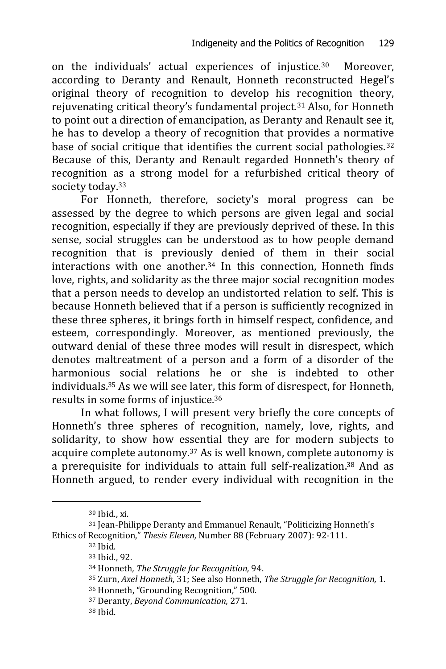on the individuals' actual experiences of injustice.30 Moreover, according to Deranty and Renault, Honneth reconstructed Hegel's original theory of recognition to develop his recognition theory, rejuvenating critical theory's fundamental project.<sup>31</sup> Also, for Honneth to point out a direction of emancipation, as Deranty and Renault see it, he has to develop a theory of recognition that provides a normative base of social critique that identifies the current social pathologies.<sup>32</sup> Because of this, Deranty and Renault regarded Honneth's theory of recognition as a strong model for a refurbished critical theory of society today.<sup>33</sup>

For Honneth, therefore, society's moral progress can be assessed by the degree to which persons are given legal and social recognition, especially if they are previously deprived of these. In this sense, social struggles can be understood as to how people demand recognition that is previously denied of them in their social interactions with one another.<sup>34</sup> In this connection, Honneth finds love, rights, and solidarity as the three major social recognition modes that a person needs to develop an undistorted relation to self. This is because Honneth believed that if a person is sufficiently recognized in these three spheres, it brings forth in himself respect, confidence, and esteem, correspondingly. Moreover, as mentioned previously, the outward denial of these three modes will result in disrespect, which denotes maltreatment of a person and a form of a disorder of the harmonious social relations he or she is indebted to other individuals.<sup>35</sup> As we will see later, this form of disrespect, for Honneth, results in some forms of injustice.<sup>36</sup>

In what follows, I will present very briefly the core concepts of Honneth's three spheres of recognition, namely, love, rights, and solidarity, to show how essential they are for modern subjects to acquire complete autonomy.<sup>37</sup> As is well known, complete autonomy is a prerequisite for individuals to attain full self-realization.<sup>38</sup> And as Honneth argued, to render every individual with recognition in the

-

<sup>36</sup> Honneth, "Grounding Recognition," 500.

<sup>30</sup> Ibid., xi.

<sup>31</sup> Jean-Philippe Deranty and Emmanuel Renault, "Politicizing Honneth's Ethics of Recognition," *Thesis Eleven,* Number 88 (February 2007): 92-111.

<sup>32</sup> Ibid.

<sup>33</sup> Ibid., 92.

<sup>34</sup> Honneth*, The Struggle for Recognition,* 94.

<sup>35</sup> Zurn, *Axel Honneth,* 31; See also Honneth, *The Struggle for Recognition,* 1.

<sup>37</sup> Deranty, *Beyond Communication,* 271.

<sup>38</sup> Ibid.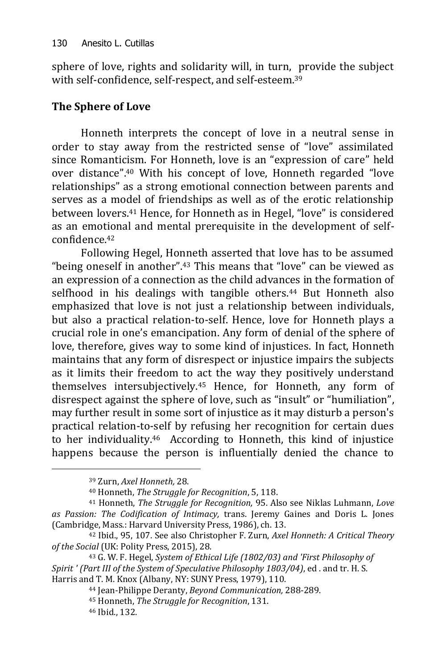sphere of love, rights and solidarity will, in turn, provide the subject with self-confidence, self-respect, and self-esteem.<sup>39</sup>

# **The Sphere of Love**

Honneth interprets the concept of love in a neutral sense in order to stay away from the restricted sense of "love" assimilated since Romanticism. For Honneth, love is an "expression of care" held over distance".<sup>40</sup> With his concept of love, Honneth regarded "love relationships" as a strong emotional connection between parents and serves as a model of friendships as well as of the erotic relationship between lovers.<sup>41</sup> Hence, for Honneth as in Hegel, "love" is considered as an emotional and mental prerequisite in the development of selfconfidence.<sup>42</sup>

Following Hegel, Honneth asserted that love has to be assumed "being oneself in another".<sup>43</sup> This means that "love" can be viewed as an expression of a connection as the child advances in the formation of selfhood in his dealings with tangible others.<sup>44</sup> But Honneth also emphasized that love is not just a relationship between individuals, but also a practical relation-to-self. Hence, love for Honneth plays a crucial role in one's emancipation. Any form of denial of the sphere of love, therefore, gives way to some kind of injustices. In fact, Honneth maintains that any form of disrespect or injustice impairs the subjects as it limits their freedom to act the way they positively understand themselves intersubjectively.<sup>45</sup> Hence, for Honneth, any form of disrespect against the sphere of love, such as "insult" or "humiliation", may further result in some sort of injustice as it may disturb a person's practical relation-to-self by refusing her recognition for certain dues to her individuality.46 According to Honneth, this kind of injustice happens because the person is influentially denied the chance to

<sup>39</sup> Zurn, *Axel Honneth,* 28.

<sup>40</sup> Honneth, *The Struggle for Recognition*, 5, 118.

<sup>41</sup> Honneth, *The Struggle for Recognition,* 95. Also see Niklas Luhmann, *Love as Passion: The Codification of Intimacy,* trans. Jeremy Gaines and Doris L. Jones (Cambridge, Mass.: Harvard University Press, 1986), ch. 13.

<sup>42</sup> Ibid., 95, 107. See also Christopher F. Zurn, *Axel Honneth: A Critical Theory of the Social* (UK: Polity Press, 2015), 28.

<sup>43</sup> G. W. F. Hegel, *System of Ethical Life (1802/03) and 'First Philosophy of Spirit ' (Part III of the System of Speculative Philosophy 1803/04)*, ed . and tr. H. S. Harris and T. M. Knox (Albany, NY: SUNY Press, 1979), 110.

<sup>44</sup> Jean-Philippe Deranty, *Beyond Communication,* 288-289.

<sup>45</sup> Honneth, *The Struggle for Recognition*, 131.

<sup>46</sup> Ibid., 132.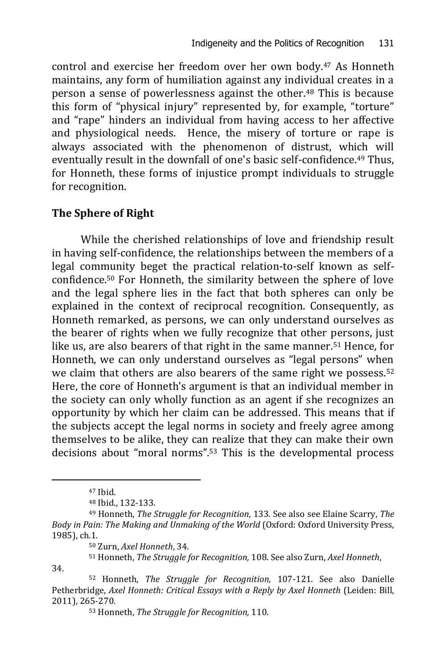control and exercise her freedom over her own body.<sup>47</sup> As Honneth maintains, any form of humiliation against any individual creates in a person a sense of powerlessness against the other.<sup>48</sup> This is because this form of "physical injury" represented by, for example, "torture" and "rape" hinders an individual from having access to her affective and physiological needs. Hence, the misery of torture or rape is always associated with the phenomenon of distrust, which will eventually result in the downfall of one's basic self-confidence.<sup>49</sup> Thus, for Honneth, these forms of injustice prompt individuals to struggle for recognition.

#### **The Sphere of Right**

While the cherished relationships of love and friendship result in having self-confidence, the relationships between the members of a legal community beget the practical relation-to-self known as selfconfidence.<sup>50</sup> For Honneth, the similarity between the sphere of love and the legal sphere lies in the fact that both spheres can only be explained in the context of reciprocal recognition. Consequently, as Honneth remarked, as persons, we can only understand ourselves as the bearer of rights when we fully recognize that other persons, just like us, are also bearers of that right in the same manner.<sup>51</sup> Hence, for Honneth, we can only understand ourselves as "legal persons" when we claim that others are also bearers of the same right we possess.<sup>52</sup> Here, the core of Honneth's argument is that an individual member in the society can only wholly function as an agent if she recognizes an opportunity by which her claim can be addressed. This means that if the subjects accept the legal norms in society and freely agree among themselves to be alike, they can realize that they can make their own decisions about "moral norms".<sup>53</sup> This is the developmental process

-

<sup>51</sup> Honneth, *The Struggle for Recognition,* 108. See also Zurn, *Axel Honneth*, 34.

<sup>47</sup> Ibid.

<sup>48</sup> Ibid., 132-133.

<sup>49</sup> Honneth, *The Struggle for Recognition*, 133. See also see Elaine Scarry, *The Body in Pain: The Making and Unmaking of the World* (Oxford: Oxford University Press, 1985), ch.1.

<sup>50</sup> Zurn, *Axel Honneth*, 34.

<sup>52</sup> Honneth, *The Struggle for Recognition,* 107-121. See also Danielle Petherbridge, *Axel Honneth: Critical Essays with a Reply by Axel Honneth* (Leiden: Bill, 2011), 265-270.

<sup>53</sup> Honneth, *The Struggle for Recognition,* 110.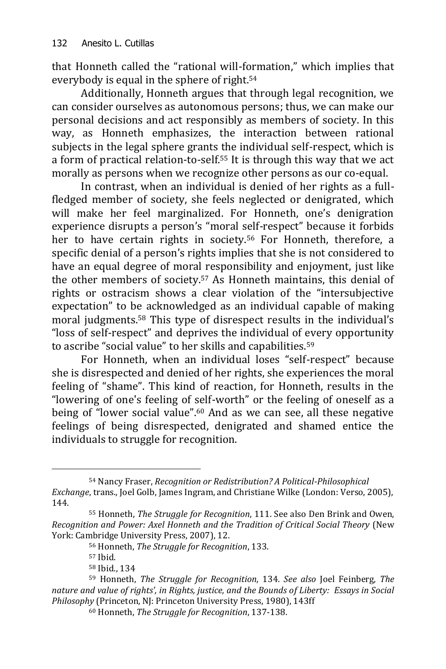that Honneth called the "rational will-formation," which implies that everybody is equal in the sphere of right.<sup>54</sup>

Additionally, Honneth argues that through legal recognition, we can consider ourselves as autonomous persons; thus, we can make our personal decisions and act responsibly as members of society. In this way, as Honneth emphasizes, the interaction between rational subjects in the legal sphere grants the individual self-respect, which is a form of practical relation-to-self.<sup>55</sup> It is through this way that we act morally as persons when we recognize other persons as our co-equal.

In contrast, when an individual is denied of her rights as a fullfledged member of society, she feels neglected or denigrated, which will make her feel marginalized. For Honneth, one's denigration experience disrupts a person's "moral self-respect" because it forbids her to have certain rights in society.<sup>56</sup> For Honneth, therefore, a specific denial of a person's rights implies that she is not considered to have an equal degree of moral responsibility and enjoyment, just like the other members of society.<sup>57</sup> As Honneth maintains, this denial of rights or ostracism shows a clear violation of the "intersubjective expectation" to be acknowledged as an individual capable of making moral judgments.<sup>58</sup> This type of disrespect results in the individual's "loss of self-respect" and deprives the individual of every opportunity to ascribe "social value" to her skills and capabilities.<sup>59</sup>

For Honneth, when an individual loses "self-respect" because she is disrespected and denied of her rights, she experiences the moral feeling of "shame". This kind of reaction, for Honneth, results in the "lowering of one's feeling of self-worth" or the feeling of oneself as a being of "lower social value".<sup>60</sup> And as we can see, all these negative feelings of being disrespected, denigrated and shamed entice the individuals to struggle for recognition.

<sup>54</sup> Nancy Fraser, *Recognition or Redistribution? A Political-Philosophical Exchange*, trans., Joel Golb, James Ingram, and Christiane Wilke (London: Verso, 2005), 144.

<sup>55</sup> Honneth, *The Struggle for Recognition*, 111. See also Den Brink and Owen, *Recognition and Power: Axel Honneth and the Tradition of Critical Social Theory* (New York: Cambridge University Press, 2007), 12.

<sup>56</sup> Honneth, *The Struggle for Recognition*, 133.

<sup>57</sup> Ibid.

<sup>58</sup> Ibid., 134

<sup>59</sup> Honneth, *The Struggle for Recognition*, 134. *See also* Joel Feinberg, *The nature and value of rights', in Rights, justice, and the Bounds of Liberty: Essays in Social Philosophy* (Princeton, NJ: Princeton University Press, 1980), 143ff

<sup>60</sup> Honneth, *The Struggle for Recognition*, 137-138.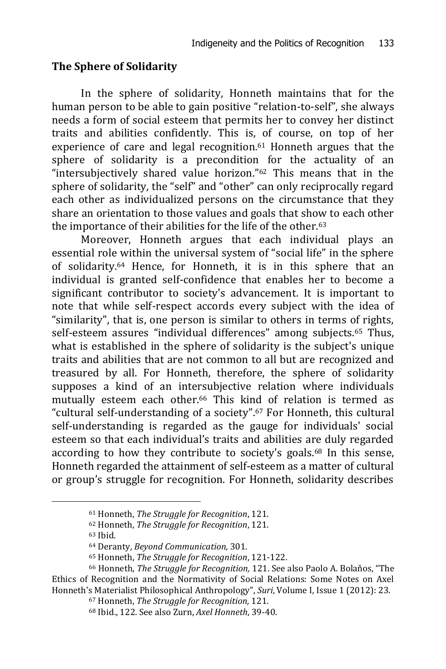## **The Sphere of Solidarity**

In the sphere of solidarity, Honneth maintains that for the human person to be able to gain positive "relation-to-self", she always needs a form of social esteem that permits her to convey her distinct traits and abilities confidently. This is, of course, on top of her experience of care and legal recognition.<sup>61</sup> Honneth argues that the sphere of solidarity is a precondition for the actuality of an "intersubjectively shared value horizon."<sup>62</sup> This means that in the sphere of solidarity, the "self" and "other" can only reciprocally regard each other as individualized persons on the circumstance that they share an orientation to those values and goals that show to each other the importance of their abilities for the life of the other.<sup>63</sup>

Moreover, Honneth argues that each individual plays an essential role within the universal system of "social life" in the sphere of solidarity.<sup>64</sup> Hence, for Honneth, it is in this sphere that an individual is granted self-confidence that enables her to become a significant contributor to society's advancement. It is important to note that while self-respect accords every subject with the idea of "similarity", that is, one person is similar to others in terms of rights, self-esteem assures "individual differences" among subjects.<sup>65</sup> Thus, what is established in the sphere of solidarity is the subject's unique traits and abilities that are not common to all but are recognized and treasured by all. For Honneth, therefore, the sphere of solidarity supposes a kind of an intersubjective relation where individuals mutually esteem each other.<sup>66</sup> This kind of relation is termed as "cultural self-understanding of a society".<sup>67</sup> For Honneth, this cultural self-understanding is regarded as the gauge for individuals' social esteem so that each individual's traits and abilities are duly regarded according to how they contribute to society's goals.<sup>68</sup> In this sense, Honneth regarded the attainment of self-esteem as a matter of cultural or group's struggle for recognition. For Honneth, solidarity describes

<sup>61</sup> Honneth, *The Struggle for Recognition*, 121.

<sup>62</sup> Honneth, *The Struggle for Recognition*, 121.

<sup>63</sup> Ibid.

<sup>64</sup> Deranty, *Beyond Communication,* 301.

<sup>65</sup> Honneth, *The Struggle for Recognition*, 121-122.

<sup>66</sup> Honneth, *The Struggle for Recognition,* 121. See also Paolo A. Bolaňos, "The Ethics of Recognition and the Normativity of Social Relations: Some Notes on Axel Honneth's Materialist Philosophical Anthropology", *Suri*, Volume I, Issue 1 (2012): 23.

<sup>67</sup> Honneth, *The Struggle for Recognition,* 121.

<sup>68</sup> Ibid., 122. See also Zurn, *Axel Honneth*, 39-40.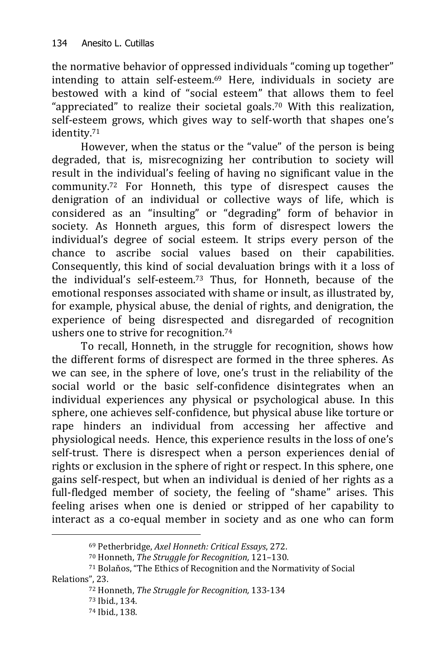the normative behavior of oppressed individuals "coming up together" intending to attain self-esteem.<sup>69</sup> Here, individuals in society are bestowed with a kind of "social esteem" that allows them to feel "appreciated" to realize their societal goals.<sup>70</sup> With this realization, self-esteem grows, which gives way to self-worth that shapes one's identity.<sup>71</sup>

However, when the status or the "value" of the person is being degraded, that is, misrecognizing her contribution to society will result in the individual's feeling of having no significant value in the community.<sup>72</sup> For Honneth, this type of disrespect causes the denigration of an individual or collective ways of life, which is considered as an "insulting" or "degrading" form of behavior in society. As Honneth argues, this form of disrespect lowers the individual's degree of social esteem. It strips every person of the chance to ascribe social values based on their capabilities. Consequently, this kind of social devaluation brings with it a loss of the individual's self-esteem.<sup>73</sup> Thus, for Honneth, because of the emotional responses associated with shame or insult, as illustrated by, for example, physical abuse, the denial of rights, and denigration, the experience of being disrespected and disregarded of recognition ushers one to strive for recognition.<sup>74</sup>

To recall, Honneth, in the struggle for recognition, shows how the different forms of disrespect are formed in the three spheres. As we can see, in the sphere of love, one's trust in the reliability of the social world or the basic self-confidence disintegrates when an individual experiences any physical or psychological abuse. In this sphere, one achieves self-confidence, but physical abuse like torture or rape hinders an individual from accessing her affective and physiological needs. Hence, this experience results in the loss of one's self-trust. There is disrespect when a person experiences denial of rights or exclusion in the sphere of right or respect. In this sphere, one gains self-respect, but when an individual is denied of her rights as a full-fledged member of society, the feeling of "shame" arises. This feeling arises when one is denied or stripped of her capability to interact as a co-equal member in society and as one who can form

<sup>69</sup> Petherbridge, *Axel Honneth: Critical Essays*, 272.

<sup>70</sup> Honneth, *The Struggle for Recognition,* 121–130.

<sup>71</sup> Bolaňos, "The Ethics of Recognition and the Normativity of Social Relations", 23.

<sup>72</sup> Honneth, *The Struggle for Recognition,* 133-134

<sup>73</sup> Ibid., 134.

<sup>74</sup> Ibid., 138.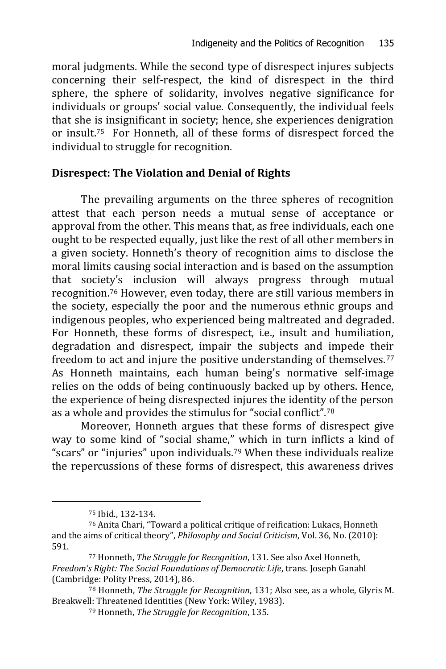moral judgments. While the second type of disrespect injures subjects concerning their self-respect, the kind of disrespect in the third sphere, the sphere of solidarity, involves negative significance for individuals or groups' social value. Consequently, the individual feels that she is insignificant in society; hence, she experiences denigration or insult.75 For Honneth, all of these forms of disrespect forced the individual to struggle for recognition.

#### **Disrespect: The Violation and Denial of Rights**

The prevailing arguments on the three spheres of recognition attest that each person needs a mutual sense of acceptance or approval from the other. This means that, as free individuals, each one ought to be respected equally, just like the rest of all other members in a given society. Honneth's theory of recognition aims to disclose the moral limits causing social interaction and is based on the assumption that society's inclusion will always progress through mutual recognition.<sup>76</sup> However, even today, there are still various members in the society, especially the poor and the numerous ethnic groups and indigenous peoples, who experienced being maltreated and degraded. For Honneth, these forms of disrespect, i.e., insult and humiliation, degradation and disrespect, impair the subjects and impede their freedom to act and injure the positive understanding of themselves.<sup>77</sup> As Honneth maintains, each human being's normative self-image relies on the odds of being continuously backed up by others. Hence, the experience of being disrespected injures the identity of the person as a whole and provides the stimulus for "social conflict".<sup>78</sup>

Moreover, Honneth argues that these forms of disrespect give way to some kind of "social shame," which in turn inflicts a kind of "scars" or "injuries" upon individuals.<sup>79</sup> When these individuals realize the repercussions of these forms of disrespect, this awareness drives

<sup>75</sup> Ibid., 132-134.

<sup>76</sup> Anita Chari, "Toward a political critique of reification: Lukacs, Honneth and the aims of critical theory", *Philosophy and Social Criticism*, Vol. 36, No. (2010): 591.

<sup>77</sup> Honneth, *The Struggle for Recognition*, 131. See also Axel Honneth, *Freedom's Right: The Social Foundations of Democratic Life*, trans. Joseph Ganahl (Cambridge: Polity Press, 2014), 86.

<sup>78</sup> Honneth, *The Struggle for Recognition*, 131; Also see, as a whole, Glyris M. Breakwell: Threatened Identities (New York: Wiley, 1983).

<sup>79</sup> Honneth, *The Struggle for Recognition*, 135.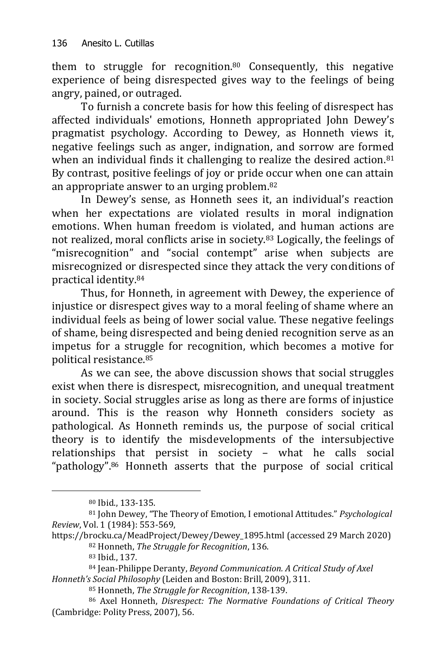them to struggle for recognition.<sup>80</sup> Consequently, this negative experience of being disrespected gives way to the feelings of being angry, pained, or outraged.

To furnish a concrete basis for how this feeling of disrespect has affected individuals' emotions, Honneth appropriated John Dewey's pragmatist psychology. According to Dewey, as Honneth views it, negative feelings such as anger, indignation, and sorrow are formed when an individual finds it challenging to realize the desired action.<sup>81</sup> By contrast, positive feelings of joy or pride occur when one can attain an appropriate answer to an urging problem.<sup>82</sup>

In Dewey's sense, as Honneth sees it, an individual's reaction when her expectations are violated results in moral indignation emotions. When human freedom is violated, and human actions are not realized, moral conflicts arise in society.<sup>83</sup> Logically, the feelings of "misrecognition" and "social contempt" arise when subjects are misrecognized or disrespected since they attack the very conditions of practical identity.<sup>84</sup>

Thus, for Honneth, in agreement with Dewey, the experience of injustice or disrespect gives way to a moral feeling of shame where an individual feels as being of lower social value. These negative feelings of shame, being disrespected and being denied recognition serve as an impetus for a struggle for recognition, which becomes a motive for political resistance.<sup>85</sup>

As we can see, the above discussion shows that social struggles exist when there is disrespect, misrecognition, and unequal treatment in society. Social struggles arise as long as there are forms of injustice around. This is the reason why Honneth considers society as pathological. As Honneth reminds us, the purpose of social critical theory is to identify the misdevelopments of the intersubjective relationships that persist in society – what he calls social "pathology".<sup>86</sup> Honneth asserts that the purpose of social critical

<sup>80</sup> Ibid., 133-135.

<sup>81</sup> John Dewey, "The Theory of Emotion, I emotional Attitudes." *Psychological Review*, Vol. 1 (1984): 553-569,

[https://brocku.ca/MeadProject/Dewey/Dewey\\_1895.html](https://brocku.ca/MeadProject/Dewey/Dewey_1895.html) (accessed 29 March 2020) <sup>82</sup> Honneth, *The Struggle for Recognition*, 136.

<sup>83</sup> Ibid., 137.

<sup>84</sup> Jean-Philippe Deranty, *Beyond Communication. A Critical Study of Axel Honneth's Social Philosophy* (Leiden and Boston: Brill, 2009), 311.

<sup>85</sup> Honneth, *The Struggle for Recognition*, 138-139.

<sup>86</sup> Axel Honneth, *Disrespect: The Normative Foundations of Critical Theory* (Cambridge: Polity Press, 2007), 56.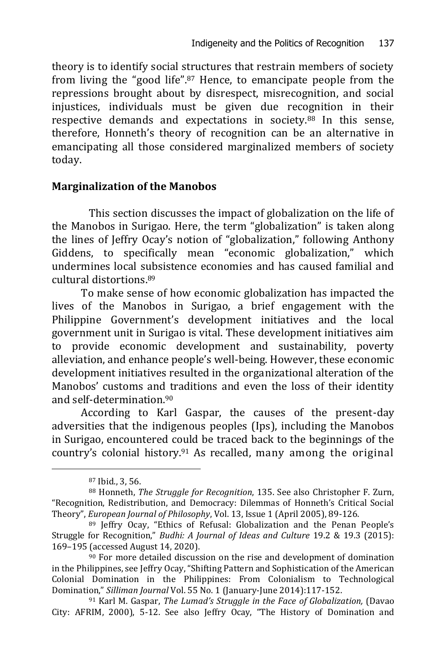theory is to identify social structures that restrain members of society from living the "good life".<sup>87</sup> Hence, to emancipate people from the repressions brought about by disrespect, misrecognition, and social injustices, individuals must be given due recognition in their respective demands and expectations in society.<sup>88</sup> In this sense, therefore, Honneth's theory of recognition can be an alternative in emancipating all those considered marginalized members of society today.

#### **Marginalization of the Manobos**

This section discusses the impact of globalization on the life of the Manobos in Surigao. Here, the term "globalization" is taken along the lines of Jeffry Ocay's notion of "globalization," following Anthony Giddens, to specifically mean "economic globalization," which undermines local subsistence economies and has caused familial and cultural distortions.<sup>89</sup>

To make sense of how economic globalization has impacted the lives of the Manobos in Surigao, a brief engagement with the Philippine Government's development initiatives and the local government unit in Surigao is vital. These development initiatives aim to provide economic development and sustainability, poverty alleviation, and enhance people's well-being. However, these economic development initiatives resulted in the organizational alteration of the Manobos' customs and traditions and even the loss of their identity and self-determination.<sup>90</sup>

According to Karl Gaspar, the causes of the present-day adversities that the indigenous peoples (Ips), including the Manobos in Surigao, encountered could be traced back to the beginnings of the country's colonial history.<sup>91</sup> As recalled, many among the original

<sup>87</sup> Ibid., 3, 56.

<sup>88</sup> Honneth, *The Struggle for Recognition*, 135. See also Christopher F. Zurn, "Recognition, Redistribution, and Democracy: Dilemmas of Honneth's Critical Social Theory", *European Journal of Philosophy*, Vol. 13, Issue 1 (April 2005), 89-126.

<sup>89</sup> Jeffry Ocay, "Ethics of Refusal: Globalization and the Penan People's Struggle for Recognition," *Budhi: A Journal of Ideas and Culture* 19.2 & 19.3 (2015): 169–195 (accessed August 14, 2020).

 $90$  For more detailed discussion on the rise and development of domination in the Philippines, see Jeffry Ocay, "Shifting Pattern and Sophistication of the American Colonial Domination in the Philippines: From Colonialism to Technological Domination," *Silliman Journal* Vol. 55 No. 1 (January-June 2014):117-152.

<sup>91</sup> Karl M. Gaspar, *The Lumad's Struggle in the Face of Globalization,* (Davao City: AFRIM, 2000), 5-12. See also Jeffry Ocay, "The History of Domination and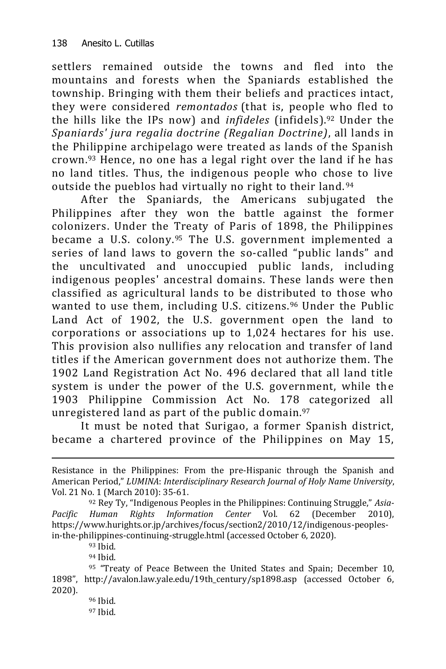settlers remained outside the towns and fled into the mountains and forests when the Spaniards established the township. Bringing with them their beliefs and practices intact, they were considered *remontados* (that is, people who fled to the hills like the IPs now) and *infideles* (infidels).<sup>92</sup> Under the *Spaniards' jura regalia doctrine (Regalian Doctrine)*, all lands in the Philippine archipelago were treated as lands of the Spanish crown.<sup>93</sup> Hence, no one has a legal right over the land if he has no land titles. Thus, the indigenous people who chose to live outside the pueblos had virtually no right to their land. <sup>94</sup>

After the Spaniards, the Americans subjugated the Philippines after they won the battle against the former colonizers. Under the Treaty of Paris of 1898, the Philippines became a U.S. colony.<sup>95</sup> The U.S. government implemented a series of land laws to govern the so-called "public lands" and the uncultivated and unoccupied public lands, including indigenous peoples' ancestral domains. These lands were then classified as agricultural lands to be distributed to those who wanted to use them, including U.S. citizens.<sup>96</sup> Under the Public Land Act of 1902, the U.S. government open the land to corporations or associations up to 1,024 hectares for his use. This provision also nullifies any relocation and transfer of land titles if the American government does not authorize them. The 1902 Land Registration Act No. 496 declared that all land title system is under the power of the U.S. government, while the 1903 Philippine Commission Act No. 178 categorized all unregistered land as part of the public domain.<sup>97</sup>

It must be noted that Surigao, a former Spanish district, became a chartered province of the Philippines on May 15,

-

<sup>94</sup> Ibid.

Resistance in the Philippines: From the pre-Hispanic through the Spanish and American Period," *LUMINA*: *Interdisciplinary Research Journal of Holy Name University*, Vol. 21 No. 1 (March 2010): 35-61.

<sup>92</sup> Rey Ty, "Indigenous Peoples in the Philippines: Continuing Struggle," *Asia-Pacific Human Rights Information Center* Vol. 62 (December 2010), [https://www.hurights.or.jp/archives/focus/section2/2010/12/indigenous-peoples](https://www.hurights.or.jp/archives/focus/section2/2010/12/indigenous-peoples-in-the-philippines-continuing-struggle.html)[in-the-philippines-continuing-struggle.html](https://www.hurights.or.jp/archives/focus/section2/2010/12/indigenous-peoples-in-the-philippines-continuing-struggle.html) (accessed October 6, 2020).

<sup>93</sup> Ibid.

<sup>95 &</sup>quot;Treaty of Peace Between the United States and Spain; December 10, 1898", [http://avalon.law.yale.edu/19th\\_century/sp1898.asp](http://avalon.law.yale.edu/19th_century/sp1898.asp) (accessed October 6, 2020).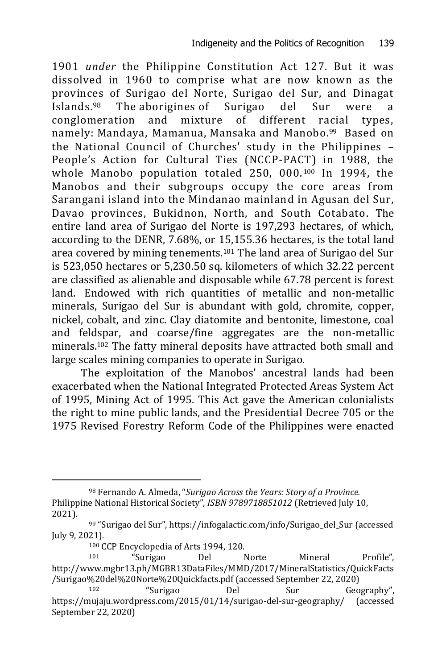1901 *under* the Philippine Constitution Act 127. But it was dissolved in 1960 to comprise what are now known as the provinces of Surigao del Norte, Surigao del Sur, and Dinagat Islands. The [aborigines](https://infogalactic.com/info/Indigenous_Australians) of Surigao del Sur were a conglomeration and mixture of different racial types, namely: [Mandaya,](https://infogalactic.com/info/Mandaya) Mamanua, [Mansaka](https://infogalactic.com/info/Mansaka) and Manobo. <sup>99</sup> Based on the National Council of Churches' study in the Philippines – People's Action for Cultural Ties (NCCP-PACT) in 1988, the whole Manobo population totaled 250, 000. <sup>100</sup> In 1994, the Manobos and their subgroups occupy the core areas from Sarangani island into the Mindanao mainland in Agusan del Sur, Davao provinces, Bukidnon, North, and South Cotabato. The entire land area of Surigao del Norte is 197,293 hectares, of which, according to the DENR, 7.68%, or 15,155.36 hectares, is the total land area covered by mining tenements.<sup>101</sup> The land area of Surigao del Sur is 523,050 hectares or 5,230.50 sq. kilometers of which 32.22 percent are classified as alienable and disposable while 67.78 percent is forest land. Endowed with rich quantities of metallic and non-metallic minerals, Surigao del Sur is abundant with gold, chromite, copper, nickel, cobalt, and zinc. Clay diatomite and bentonite, limestone, coal and feldspar, and coarse/fine aggregates are the non-metallic minerals.<sup>102</sup> The fatty mineral deposits have attracted both small and large scales mining companies to operate in Surigao.

The exploitation of the Manobos' ancestral lands had been exacerbated when the National Integrated Protected Areas System Act of 1995, Mining Act of 1995. This Act gave the American colonialists the right to mine public lands, and the Presidential Decree 705 or the 1975 Revised Forestry Reform Code of the Philippines were enacted

<sup>98</sup> Fernando A. Almeda, "*Surigao Across the Years: Story of a Province.*  Philippine National Historical Society", *[ISBN](https://en.wikipedia.org/wiki/ISBN_(identifier)) [9789718851012](https://en.wikipedia.org/wiki/Special:BookSources/9789718851012)* (Retrieved July 10, 2021).

<sup>99</sup> "Surigao del Sur"[, https://infogalactic.com/info/Surigao\\_del\\_Sur](https://infogalactic.com/info/Surigao_del_Sur) (accessed July 9, 2021).

<sup>100</sup> CCP Encyclopedia of Arts 1994, 120.

<sup>101</sup> "Surigao Del Norte Mineral Profile", [http://www.mgbr13.ph/MGBR13DataFiles/MMD/2017/MineralStatistics/QuickFacts](http://www.mgbr13.ph/MGBR13DataFiles/MMD/2017/MineralStatistics/QuickFacts/Surigao%20del%20Norte%20Quickfacts.pdf) [/Surigao%20del%20Norte%20Quickfacts.pdf](http://www.mgbr13.ph/MGBR13DataFiles/MMD/2017/MineralStatistics/QuickFacts/Surigao%20del%20Norte%20Quickfacts.pdf) (accessed September 22, 2020)

<sup>&</sup>quot;Surigao Del Sur Geography", <https://mujaju.wordpress.com/2015/01/14/surigao-del-sur-geography/> (accessed September 22, 2020)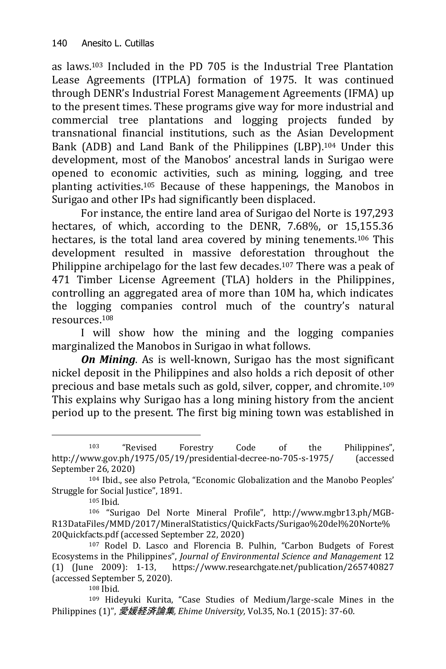as laws.<sup>103</sup> Included in the PD 705 is the Industrial Tree Plantation Lease Agreements (ITPLA) formation of 1975. It was continued through DENR's Industrial Forest Management Agreements (IFMA) up to the present times. These programs give way for more industrial and commercial tree plantations and logging projects funded by transnational financial institutions, such as the Asian Development Bank (ADB) and Land Bank of the Philippines (LBP).<sup>104</sup> Under this development, most of the Manobos' ancestral lands in Surigao were opened to economic activities, such as mining, logging, and tree planting activities.<sup>105</sup> Because of these happenings, the Manobos in Surigao and other IPs had significantly been displaced.

For instance, the entire land area of Surigao del Norte is 197,293 hectares, of which, according to the DENR, 7.68%, or 15,155.36 hectares, is the total land area covered by mining tenements.<sup>106</sup> This development resulted in massive deforestation throughout the Philippine archipelago for the last few decades. <sup>107</sup> There was a peak of 471 Timber License Agreement (TLA) holders in the Philippines, controlling an aggregated area of more than 10M ha, which indicates the logging companies control much of the country's natural resources. 108

I will show how the mining and the logging companies marginalized the Manobos in Surigao in what follows.

*On Mining*. As is well-known, Surigao has the most significant nickel deposit in the Philippines and also holds a rich deposit of other precious and base metals such as gold, silver, copper, and chromite.<sup>109</sup> This explains why Surigao has a long mining history from the ancient period up to the present. The first big mining town was established in

<sup>103</sup> "Revised Forestry Code of the Philippines", [http://www.gov.ph/1975/05/19/presidential-decree-no-7](http://www.gov.ph/1975/05/19/presidential-decree-no-)05-s-1975/ (accessed September 26, 2020)

<sup>104</sup> Ibid., see also Petrola, "Economic Globalization and the Manobo Peoples' Struggle for Social Justice", 1891.

<sup>105</sup> Ibid.

<sup>106</sup> "Surigao Del Norte Mineral Profile", [http://www.mgbr13.ph/MGB-](http://www.mgbr13.ph/MGB-R13DataFiles/MMD/2017/MineralStatistics/QuickFacts/Surigao%20del%20Norte%20Quickfacts.pdf)[R13DataFiles/MMD/2017/MineralStatistics/QuickFacts/Surigao%20del%20Norte%](http://www.mgbr13.ph/MGB-R13DataFiles/MMD/2017/MineralStatistics/QuickFacts/Surigao%20del%20Norte%20Quickfacts.pdf) [20Quickfacts.pdf](http://www.mgbr13.ph/MGB-R13DataFiles/MMD/2017/MineralStatistics/QuickFacts/Surigao%20del%20Norte%20Quickfacts.pdf) (accessed September 22, 2020)

<sup>107</sup> Rodel D. Lasco and Florencia B. Pulhin, "Carbon Budgets of Forest Ecosystems in the Philippines", *Journal of Environmental Science and Management* 12 (1) (June 2009): 1-13, <https://www.researchgate.net/publication/265740827> (accessed September 5, 2020).

<sup>108</sup> Ibid.

<sup>109</sup> Hideyuki Kurita, "Case Studies of Medium/large-scale Mines in the Philippines (1)", 愛媛経済論集*, Ehime University,* Vol.35, No.1 (2015): 37-60.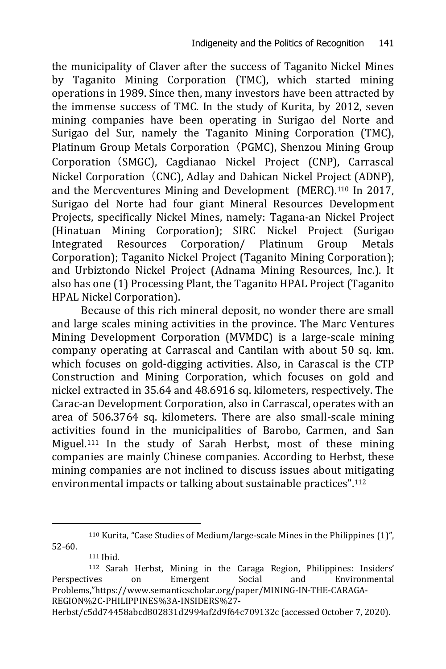the municipality of Claver after the success of Taganito Nickel Mines by Taganito Mining Corporation (TMC), which started mining operations in 1989. Since then, many investors have been attracted by the immense success of TMC. In the study of Kurita, by 2012, seven mining companies have been operating in Surigao del Norte and Surigao del Sur, namely the Taganito Mining Corporation (TMC), Platinum Group Metals Corporation (PGMC), Shenzou Mining Group Corporation(SMGC), Cagdianao Nickel Project (CNP), Carrascal Nickel Corporation (CNC), Adlay and Dahican Nickel Project (ADNP), and the Mercventures Mining and Development (MERC).<sup>110</sup> In 2017, Surigao del Norte had four giant Mineral Resources Development Projects, specifically Nickel Mines, namely: Tagana-an Nickel Project (Hinatuan Mining Corporation); SIRC Nickel Project (Surigao Integrated Resources Corporation/ Platinum Group Metals Corporation); Taganito Nickel Project (Taganito Mining Corporation); and Urbiztondo Nickel Project (Adnama Mining Resources, Inc.). It also has one (1) Processing Plant, the Taganito HPAL Project (Taganito HPAL Nickel Corporation).

Because of this rich mineral deposit, no wonder there are small and large scales mining activities in the province. The Marc Ventures Mining Development Corporation (MVMDC) is a large-scale mining company operating at Carrascal and Cantilan with about 50 sq. km. which focuses on gold-digging activities. Also, in Carascal is the CTP Construction and Mining Corporation, which focuses on gold and nickel extracted in 35.64 and 48.6916 sq. kilometers, respectively. The Carac-an Development Corporation, also in Carrascal, operates with an area of 506.3764 sq. kilometers. There are also small-scale mining activities found in the municipalities of Barobo, Carmen, and San Miguel.<sup>111</sup> In the study of Sarah Herbst, most of these mining companies are mainly Chinese companies. According to Herbst, these mining companies are not inclined to discuss issues about mitigating environmental impacts or talking about sustainable practices".<sup>112</sup>

<sup>110</sup> Kurita, "Case Studies of Medium/large-scale Mines in the Philippines (1)", 52-60.

<sup>111</sup> Ibid.

<sup>112</sup> Sarah Herbst, Mining in the Caraga Region, Philippines: Insiders' Perspectives on Emergent Social and Environmental Problems,"[https://www.semanticscholar.org/paper/MINING-IN-THE-CARAGA-](https://www.semanticscholar.org/paper/MINING-IN-THE-CARAGA-REGION%2C-PHILIPPINES%3A-INSIDERS%27-Herbst/c5dd74458abcd802831d2994af2d9f64c709132c)[REGION%2C-PHILIPPINES%3A-INSIDERS%27-](https://www.semanticscholar.org/paper/MINING-IN-THE-CARAGA-REGION%2C-PHILIPPINES%3A-INSIDERS%27-Herbst/c5dd74458abcd802831d2994af2d9f64c709132c)

[Herbst/c5dd74458abcd802831d2994af2d9f64c709132c](https://www.semanticscholar.org/paper/MINING-IN-THE-CARAGA-REGION%2C-PHILIPPINES%3A-INSIDERS%27-Herbst/c5dd74458abcd802831d2994af2d9f64c709132c) (accessed October 7, 2020).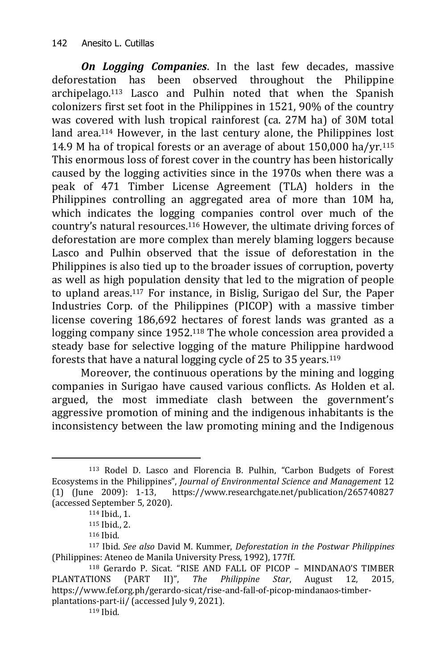*On Logging Companies*. In the last few decades, massive deforestation has been observed throughout the Philippine archipelago.<sup>113</sup> Lasco and Pulhin noted that when the Spanish colonizers first set foot in the Philippines in 1521, 90% of the country was covered with lush tropical rainforest (ca. 27M ha) of 30M total land area. <sup>114</sup> However, in the last century alone, the Philippines lost 14.9 M ha of tropical forests or an average of about 150,000 ha/yr.<sup>115</sup> This enormous loss of forest cover in the country has been historically caused by the logging activities since in the 1970s when there was a peak of 471 Timber License Agreement (TLA) holders in the Philippines controlling an aggregated area of more than 10M ha, which indicates the logging companies control over much of the country's natural resources.<sup>116</sup> However, the ultimate driving forces of deforestation are more complex than merely blaming loggers because Lasco and Pulhin observed that the issue of deforestation in the Philippines is also tied up to the broader issues of corruption, poverty as well as high population density that led to the migration of people to upland areas.<sup>117</sup> For instance, in Bislig, Surigao del Sur, the Paper Industries Corp. of the Philippines (PICOP) with a massive timber license covering 186,692 hectares of forest lands was granted as a logging company since 1952.<sup>118</sup> The whole concession area provided a steady base for selective logging of the mature Philippine hardwood forests that have a natural logging cycle of 25 to 35 years.<sup>119</sup>

Moreover, the continuous operations by the mining and logging companies in Surigao have caused various conflicts. As Holden et al. argued, the most immediate clash between the government's aggressive promotion of mining and the indigenous inhabitants is the inconsistency between the law promoting mining and the Indigenous

-

<sup>119</sup> Ibid.

<sup>113</sup> Rodel D. Lasco and Florencia B. Pulhin, "Carbon Budgets of Forest Ecosystems in the Philippines", *Journal of Environmental Science and Management* 12 (1) (June 2009): 1-13, <https://www.researchgate.net/publication/265740827> (accessed September 5, 2020).

<sup>114</sup> Ibid., 1.

<sup>115</sup> Ibid., 2.

<sup>116</sup> Ibid.

<sup>117</sup> Ibid. *See also* David M. Kummer, *Deforestation in the Postwar Philippines* (Philippines: Ateneo de Manila University Press, 1992), 177ff.

<sup>118</sup> Gerardo P. Sicat. "RISE AND FALL OF PICOP – MINDANAO'S TIMBER PLANTATIONS (PART II)", *The Philippine Star*, August 12, 2015, [https://www.fef.org.ph/gerardo-sicat/rise-and-fall-of-picop-mindanaos-timber](https://www.fef.org.ph/gerardo-sicat/rise-and-fall-of-picop-mindanaos-timber-plantations-part-ii/)[plantations-part-ii/](https://www.fef.org.ph/gerardo-sicat/rise-and-fall-of-picop-mindanaos-timber-plantations-part-ii/) (accessed July 9, 2021).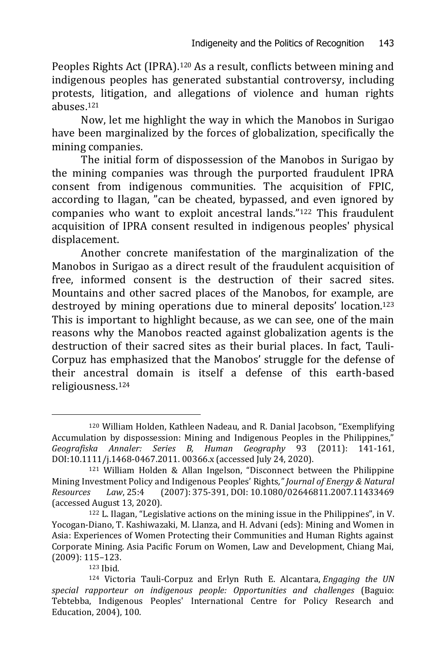Peoples Rights Act (IPRA).<sup>120</sup> As a result, conflicts between mining and indigenous peoples has generated substantial controversy, including protests, litigation, and allegations of violence and human rights abuses.<sup>121</sup>

Now, let me highlight the way in which the Manobos in Surigao have been marginalized by the forces of globalization, specifically the mining companies.

The initial form of dispossession of the Manobos in Surigao by the mining companies was through the purported fraudulent IPRA consent from indigenous communities. The acquisition of FPIC, according to Ilagan, "can be cheated, bypassed, and even ignored by companies who want to exploit ancestral lands."<sup>122</sup> This fraudulent acquisition of IPRA consent resulted in indigenous peoples' physical displacement.

Another concrete manifestation of the marginalization of the Manobos in Surigao as a direct result of the fraudulent acquisition of free, informed consent is the destruction of their sacred sites. Mountains and other sacred places of the Manobos, for example, are destroyed by mining operations due to mineral deposits' location.<sup>123</sup> This is important to highlight because, as we can see, one of the main reasons why the Manobos reacted against globalization agents is the destruction of their sacred sites as their burial places. In fact, Tauli-Corpuz has emphasized that the Manobos' struggle for the defense of their ancestral domain is itself a defense of this earth-based religiousness.<sup>124</sup>

<sup>123</sup> Ibid.

<sup>120</sup> William Holden, Kathleen Nadeau, and R. Danial Jacobson, "Exemplifying Accumulation by dispossession: Mining and Indigenous Peoples in the Philippines," *Geografiska Annaler: Series B, Human Geography* 93 (2011): 141-161, DOI[:10.1111/j.1468-0467.2011. 00366.x](https://doi.org/10.1111/j.1468-0467.2011.00366.x) (accessed July 24, 2020).

<sup>121</sup> William Holden & Allan Ingelson, "Disconnect between the Philippine Mining Investment Policy and Indigenous Peoples' Rights*," Journal of Energy & Natural Resources Law*, 25:4 (2007): 375-391, DOI: [10.1080/02646811.2007.11433469](https://doi.org/10.1080/02646811.2007.11433469) (accessed August 13, 2020).

<sup>122</sup> L. Ilagan, "Legislative actions on the mining issue in the Philippines", in V. Yocogan-Diano, T. Kashiwazaki, M. Llanza, and H. Advani (eds): Mining and Women in Asia: Experiences of Women Protecting their Communities and Human Rights against Corporate Mining. Asia Pacific Forum on Women, Law and Development, Chiang Mai, (2009): 115–123.

<sup>124</sup> Victoria Tauli-Corpuz and Erlyn Ruth E. Alcantara, *Engaging the UN special rapporteur on indigenous people: Opportunities and challenges* (Baguio: Tebtebba, Indigenous Peoples' International Centre for Policy Research and Education, 2004), 100.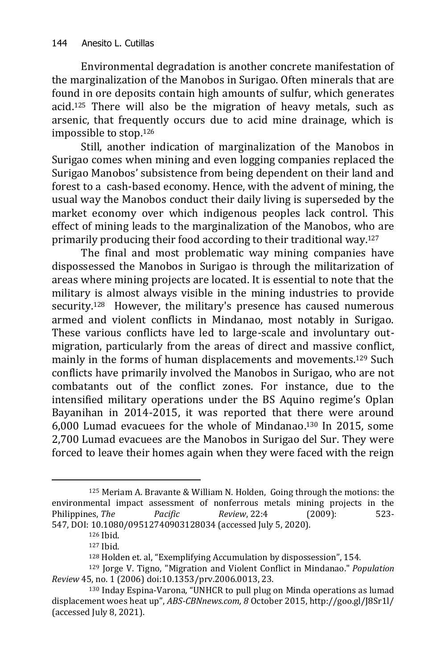Environmental degradation is another concrete manifestation of the marginalization of the Manobos in Surigao. Often minerals that are found in ore deposits contain high amounts of sulfur, which generates acid.<sup>125</sup> There will also be the migration of heavy metals, such as arsenic, that frequently occurs due to acid mine drainage, which is impossible to stop.<sup>126</sup>

Still, another indication of marginalization of the Manobos in Surigao comes when mining and even logging companies replaced the Surigao Manobos' subsistence from being dependent on their land and forest to a cash-based economy. Hence, with the advent of mining, the usual way the Manobos conduct their daily living is superseded by the market economy over which indigenous peoples lack control. This effect of mining leads to the marginalization of the Manobos, who are primarily producing their food according to their traditional way.<sup>127</sup>

The final and most problematic way mining companies have dispossessed the Manobos in Surigao is through the militarization of areas where mining projects are located. It is essential to note that the military is almost always visible in the mining industries to provide security.<sup>128</sup> However, the military's presence has caused numerous armed and violent conflicts in Mindanao, most notably in Surigao. These various conflicts have led to large-scale and involuntary outmigration, particularly from the areas of direct and massive conflict, mainly in the forms of human displacements and movements.<sup>129</sup> Such conflicts have primarily involved the Manobos in Surigao, who are not combatants out of the conflict zones. For instance, due to the intensified military operations under the BS Aquino regime's Oplan Bayanihan in 2014-2015, it was reported that there were around 6,000 Lumad evacuees for the whole of Mindanao. <sup>130</sup> In 2015, some 2,700 Lumad evacuees are the Manobos in Surigao del Sur. They were forced to leave their homes again when they were faced with the reign

<sup>125</sup> Meriam A. Bravante & William N. Holden, Going through the motions: the environmental impact assessment of nonferrous metals mining projects in the Philippines, *The Pacific Review*, 22:4 (2009): 523- 547, DOI: [10.1080/09512740903128034](https://doi.org/10.1080/09512740903128034) (accessed July 5, 2020).

<sup>126</sup> Ibid.

<sup>127</sup> Ibid.

<sup>128</sup> Holden et. al, "Exemplifying Accumulation by dispossession", 154.

<sup>129</sup> Jorge V. Tigno, "Migration and Violent Conflict in Mindanao." *Population Review* 45, no. 1 (2006) [doi:10.1353/prv.2006.0013,](http://doi.org/10.1353/prv.2006.0013) 23.

<sup>130</sup> Inday Espina-Varona*,* "UNHCR to pull plug on Minda operations as lumad displacement woes heat up", *ABS-CBNnews.com, 8* October 2015[, http://goo.gl/J8Sr1l/](http://goo.gl/J8Sr1l/) (accessed July 8, 2021).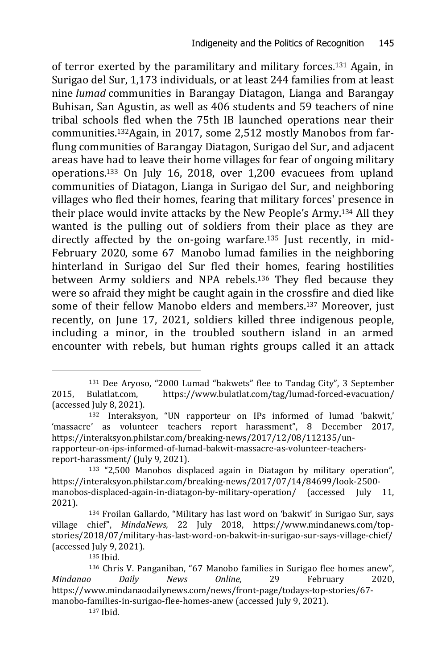of terror exerted by the paramilitary and military forces.<sup>131</sup> Again, in Surigao del Sur, 1,173 individuals, or at least 244 families from at least nine *lumad* communities in Barangay Diatagon, Lianga and Barangay Buhisan, San Agustin, as well as 406 students and 59 teachers of nine tribal schools fled when the 75th IB launched operations near their communities.132Again, in 2017, some 2,512 mostly Manobos from farflung communities of Barangay Diatagon, Surigao del Sur, and adjacent areas have had to leave their home villages for fear of ongoing military operations.<sup>133</sup> On July 16, 2018, over 1,200 evacuees from upland communities of Diatagon, Lianga in Surigao del Sur, and neighboring villages who fled their homes, fearing that military forces' presence in their place would invite attacks by the New People's Army.<sup>134</sup> All they wanted is the pulling out of soldiers from their place as they are directly affected by the on-going warfare.<sup>135</sup> Just recently, in mid-February 2020, some 67 Manobo lumad families in the neighboring hinterland in Surigao del Sur fled their homes, fearing hostilities between Army soldiers and NPA rebels.<sup>136</sup> They fled because they were so afraid they might be caught again in the crossfire and died like some of their fellow Manobo elders and members. <sup>137</sup> Moreover, just recently, on June 17, 2021, soldiers killed three indigenous people, including a minor, in the troubled southern island in an armed encounter with rebels, but human rights groups called it an attack

<sup>135</sup> Ibid.

-

<sup>137</sup> Ibid.

<sup>131</sup> Dee Aryoso, "2000 Lumad "bakwets" flee to Tandag City", 3 September 2015, Bulatlat.com, <https://www.bulatlat.com/tag/lumad-forced-evacuation/> (accessed July 8, 2021).

<sup>132</sup> [Interaksyon](https://interaksyon.philstar.com/author/interaksyon/), "UN rapporteur on IPs informed of lumad 'bakwit,' 'massacre' as volunteer teachers report harassment", 8 December 2017, [https://interaksyon.philstar.com/breaking-news/2017/12/08/112135/un](https://interaksyon.philstar.com/breaking-news/2017/12/08/112135/un-rapporteur-on-ips-informed-of-lumad-bakwit-massacre-as-volunteer-teachers-report-harassment/)[rapporteur-on-ips-informed-of-lumad-bakwit-massacre-as-volunteer-teachers](https://interaksyon.philstar.com/breaking-news/2017/12/08/112135/un-rapporteur-on-ips-informed-of-lumad-bakwit-massacre-as-volunteer-teachers-report-harassment/)[report-harassment/](https://interaksyon.philstar.com/breaking-news/2017/12/08/112135/un-rapporteur-on-ips-informed-of-lumad-bakwit-massacre-as-volunteer-teachers-report-harassment/) (July 9, 2021).

<sup>133</sup> "2,500 Manobos displaced again in Diatagon by military operation", [https://interaksyon.philstar.com/breaking-news/2017/07/14/84699/look-2500](https://interaksyon.philstar.com/breaking-news/2017/07/14/84699/look-2500-manobos-displaced-again-in-diatagon-by-military-operation/) [manobos-displaced-again-in-diatagon-by-military-operation/](https://interaksyon.philstar.com/breaking-news/2017/07/14/84699/look-2500-manobos-displaced-again-in-diatagon-by-military-operation/) (accessed July 11, 2021).

<sup>134</sup> Froilan Gallardo, "Military has last word on 'bakwit' in Surigao Sur, says village chief", *MindaNews,* 22 July 2018, [https://www.mindanews.com/top](https://www.mindanews.com/top-stories/2018/07/military-has-last-word-on-bakwit-in-surigao-sur-says-village-chief/)[stories/2018/07/military-has-last-word-on-bakwit-in-surigao-sur-says-village-chief/](https://www.mindanews.com/top-stories/2018/07/military-has-last-word-on-bakwit-in-surigao-sur-says-village-chief/) (accessed July 9, 2021).

<sup>136</sup> Chris V. Panganiban, "67 Manobo families in Surigao flee homes anew", *Mindanao Daily News Online,* 29 February 2020, [https://www.mindanaodailynews.com/news/front-page/todays-top-stories/67](https://www.mindanaodailynews.com/news/front-page/todays-top-stories/67-manobo-families-in-surigao-flee-homes-anew) [manobo-families-in-surigao-flee-homes-anew](https://www.mindanaodailynews.com/news/front-page/todays-top-stories/67-manobo-families-in-surigao-flee-homes-anew) (accessed July 9, 2021).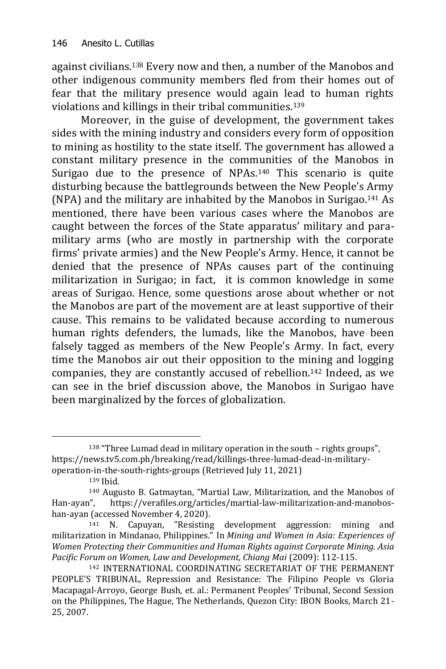against civilians.<sup>138</sup> Every now and then, a number of the Manobos and other indigenous community members fled from their homes out of fear that the military presence would again lead to human rights violations and killings in their tribal communities.<sup>139</sup>

Moreover, in the guise of development, the government takes sides with the mining industry and considers every form of opposition to mining as hostility to the state itself. The government has allowed a constant military presence in the communities of the Manobos in Surigao due to the presence of NPAs.<sup>140</sup> This scenario is quite disturbing because the battlegrounds between the New People's Army (NPA) and the military are inhabited by the Manobos in Surigao.<sup>141</sup> As mentioned, there have been various cases where the Manobos are caught between the forces of the State apparatus' military and paramilitary arms (who are mostly in partnership with the corporate firms' private armies) and the New People's Army. Hence, it cannot be denied that the presence of NPAs causes part of the continuing militarization in Surigao; in fact, it is common knowledge in some areas of Surigao. Hence, some questions arose about whether or not the Manobos are part of the movement are at least supportive of their cause. This remains to be validated because according to numerous human rights defenders, the lumads, like the Manobos, have been falsely tagged as members of the New People's Army. In fact, every time the Manobos air out their opposition to the mining and logging companies, they are constantly accused of rebellion.<sup>142</sup> Indeed, as we can see in the brief discussion above, the Manobos in Surigao have been marginalized by the forces of globalization.

<sup>138</sup> "Three Lumad dead in military operation in the south – rights groups", [https://news.tv5.com.ph/breaking/read/killings-three-lumad-dead-in-military](https://news.tv5.com.ph/breaking/read/killings-three-lumad-dead-in-military-operation-in-the-south-rights-groups)[operation-in-the-south-rights-groups](https://news.tv5.com.ph/breaking/read/killings-three-lumad-dead-in-military-operation-in-the-south-rights-groups) (Retrieved July 11, 2021)

<sup>139</sup> Ibid.

<sup>140</sup> Augusto B. Gatmaytan, "Martial Law, Militarization, and the Manobos of Han-ayan", [https://verafiles.org/articles/martial-law-militarization-and-manobos](https://verafiles.org/articles/martial-law-militarization-and-manobos-han-ayan)[han-ayan](https://verafiles.org/articles/martial-law-militarization-and-manobos-han-ayan) (accessed November 4, 2020).

<sup>141</sup> N. Capuyan, "Resisting development aggression: mining and militarization in Mindanao, Philippines." In *Mining and Women in Asia: Experiences of Women Protecting their Communities and Human Rights against Corporate Mining. Asia Pacific Forum on Women, Law and Development, Chiang Mai* (2009): 112-115.

<sup>142</sup> INTERNATIONAL COORDINATING SECRETARIAT OF THE PERMANENT PEOPLE'S TRIBUNAL, Repression and Resistance: The Filipino People vs Gloria Macapagal-Arroyo, George Bush, et. al.: Permanent Peoples' Tribunal, Second Session on the Philippines, The Hague, The Netherlands, Quezon City: IBON Books, March 21- 25, 2007.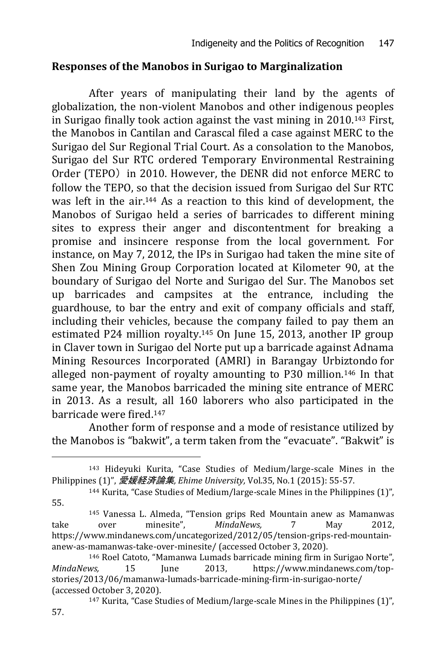#### **Responses of the Manobos in Surigao to Marginalization**

After years of manipulating their land by the agents of globalization, the non-violent Manobos and other indigenous peoples in Surigao finally took action against the vast mining in 2010.<sup>143</sup> First, the Manobos in Cantilan and Carascal filed a case against MERC to the Surigao del Sur Regional Trial Court. As a consolation to the Manobos, Surigao del Sur RTC ordered Temporary Environmental Restraining Order (TEPO) in 2010. However, the DENR did not enforce MERC to follow the TEPO, so that the decision issued from Surigao del Sur RTC was left in the air.<sup>144</sup> As a reaction to this kind of development, the Manobos of Surigao held a series of barricades to different mining sites to express their anger and discontentment for breaking a promise and insincere response from the local government. For instance, on May 7, 2012, the IPs in Surigao had taken the mine site of Shen Zou Mining Group Corporation located at Kilometer 90, at the boundary of Surigao del Norte and Surigao del Sur. The Manobos set up barricades and campsites at the entrance, including the guardhouse, to bar the entry and exit of company officials and staff, including their vehicles, because the company failed to pay them an estimated P24 million royalty.<sup>145</sup> On June 15, 2013, another IP group in Claver town in Surigao del Norte put up a barricade against Adnama Mining Resources Incorporated (AMRI) in Barangay Urbiztondo for alleged non-payment of royalty amounting to P30 million.<sup>146</sup> In that same year, the Manobos barricaded the mining site entrance of MERC in 2013. As a result, all 160 laborers who also participated in the barricade were fired.<sup>147</sup>

Another form of response and a mode of resistance utilized by the Manobos is "bakwit", a term taken from the "evacuate". "Bakwit" is

<sup>143</sup> Hideyuki Kurita, "Case Studies of Medium/large-scale Mines in the Philippines (1)", 愛媛経済論集*, Ehime University,* Vol.35, No.1 (2015): 55-57.

<sup>144</sup> Kurita, "Case Studies of Medium/large-scale Mines in the Philippines (1)", 55.

<sup>145</sup> Vanessa L. Almeda, "Tension grips Red Mountain anew as Mamanwas take over minesite", *MindaNews,* 7 May 2012, [https://www.mindanews.com/uncategorized/2012/05/tension-grips-red-mountain](https://www.mindanews.com/uncategorized/2012/05/tension-grips-red-mountain-anew-as-mamanwas-take-over-minesite/)[anew-as-mamanwas-take-over-minesite/](https://www.mindanews.com/uncategorized/2012/05/tension-grips-red-mountain-anew-as-mamanwas-take-over-minesite/) (accessed October 3, 2020).

<sup>146</sup> Roel Catoto, "Mamanwa Lumads barricade mining firm in Surigao Norte", *MindaNews,* 15 June 2013, [https://www.mindanews.com/top](https://www.mindanews.com/top-stories/2013/06/mamanwa-lumads-barricade-mining-firm-in-surigao-norte/)[stories/2013/06/mamanwa-lumads-barricade-mining-firm-in-surigao-norte/](https://www.mindanews.com/top-stories/2013/06/mamanwa-lumads-barricade-mining-firm-in-surigao-norte/) (accessed October 3, 2020).

<sup>147</sup> Kurita, "Case Studies of Medium/large-scale Mines in the Philippines (1)", 57.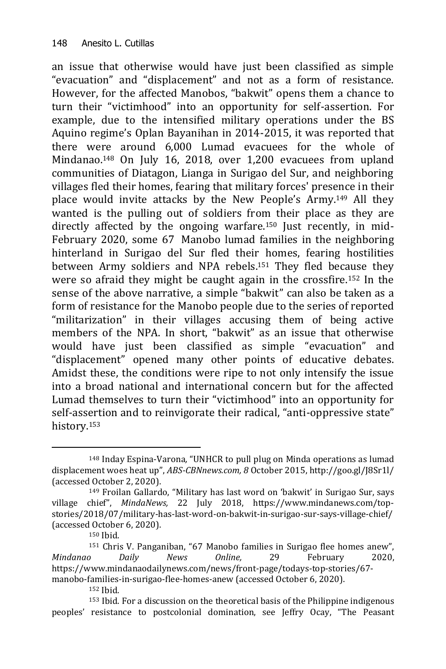an issue that otherwise would have just been classified as simple "evacuation" and "displacement" and not as a form of resistance. However, for the affected Manobos, "bakwit" opens them a chance to turn their "victimhood" into an opportunity for self-assertion. For example, due to the intensified military operations under the BS Aquino regime's Oplan Bayanihan in 2014-2015, it was reported that there were around 6,000 Lumad evacuees for the whole of Mindanao.<sup>148</sup> On July 16, 2018, over 1,200 evacuees from upland communities of Diatagon, Lianga in Surigao del Sur, and neighboring villages fled their homes, fearing that military forces' presence in their place would invite attacks by the New People's Army.<sup>149</sup> All they wanted is the pulling out of soldiers from their place as they are directly affected by the ongoing warfare.<sup>150</sup> Just recently, in mid-February 2020, some 67 Manobo lumad families in the neighboring hinterland in Surigao del Sur fled their homes, fearing hostilities between Army soldiers and NPA rebels.<sup>151</sup> They fled because they were so afraid they might be caught again in the crossfire.<sup>152</sup> In the sense of the above narrative, a simple "bakwit" can also be taken as a form of resistance for the Manobo people due to the series of reported "militarization" in their villages accusing them of being active members of the NPA. In short, "bakwit" as an issue that otherwise would have just been classified as simple "evacuation" and "displacement" opened many other points of educative debates. Amidst these, the conditions were ripe to not only intensify the issue into a broad national and international concern but for the affected Lumad themselves to turn their "victimhood" into an opportunity for self-assertion and to reinvigorate their radical, "anti-oppressive state" history.<sup>153</sup>

<sup>-</sup><sup>148</sup> Inday Espina-Varona*,* "UNHCR to pull plug on Minda operations as lumad displacement woes heat up", *ABS-CBNnews.com, 8* October 2015[, http://goo.gl/J8Sr1l/](http://goo.gl/J8Sr1l/) (accessed October 2, 2020).

<sup>149</sup> Froilan Gallardo, "Military has last word on 'bakwit' in Surigao Sur, says village chief", *MindaNews,* 22 July 2018, [https://www.mindanews.com/top](https://www.mindanews.com/top-stories/2018/07/military-has-last-word-on-bakwit-in-surigao-sur-says-village-chief/)[stories/2018/07/military-has-last-word-on-bakwit-in-surigao-sur-says-village-chief/](https://www.mindanews.com/top-stories/2018/07/military-has-last-word-on-bakwit-in-surigao-sur-says-village-chief/) (accessed October 6, 2020).

<sup>150</sup> Ibid.

<sup>151</sup> Chris V. Panganiban, "67 Manobo families in Surigao flee homes anew", *Mindanao Daily News Online,* 29 February 2020, [https://www.mindanaodailynews.com/news/front-page/todays-top-stories/67](https://www.mindanaodailynews.com/news/front-page/todays-top-stories/67-manobo-families-in-surigao-flee-homes-anew) [manobo-families-in-surigao-flee-homes-anew](https://www.mindanaodailynews.com/news/front-page/todays-top-stories/67-manobo-families-in-surigao-flee-homes-anew) (accessed October 6, 2020).

<sup>152</sup> Ibid.

<sup>153</sup> Ibid. For a discussion on the theoretical basis of the Philippine indigenous peoples' resistance to postcolonial domination, see Jeffry Ocay, "The Peasant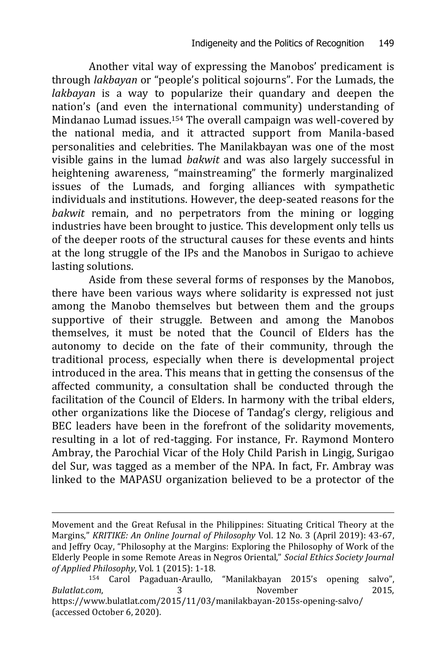Another vital way of expressing the Manobos' predicament is through *lakbayan* or "people's political sojourns". For the Lumads, the *lakbayan* is a way to popularize their quandary and deepen the nation's (and even the international community) understanding of Mindanao Lumad issues.<sup>154</sup> The overall campaign was well-covered by the national media, and it attracted support from Manila-based personalities and celebrities. The Manilakbayan was one of the most visible gains in the lumad *bakwit* and was also largely successful in heightening awareness, "mainstreaming" the formerly marginalized issues of the Lumads, and forging alliances with sympathetic individuals and institutions. However, the deep-seated reasons for the *bakwit* remain, and no perpetrators from the mining or logging industries have been brought to justice. This development only tells us of the deeper roots of the structural causes for these events and hints at the long struggle of the IPs and the Manobos in Surigao to achieve lasting solutions.

Aside from these several forms of responses by the Manobos, there have been various ways where solidarity is expressed not just among the Manobo themselves but between them and the groups supportive of their struggle. Between and among the Manobos themselves, it must be noted that the Council of Elders has the autonomy to decide on the fate of their community, through the traditional process, especially when there is developmental project introduced in the area. This means that in getting the consensus of the affected community, a consultation shall be conducted through the facilitation of the Council of Elders. In harmony with the tribal elders, other organizations like the Diocese of Tandag's clergy, religious and BEC leaders have been in the forefront of the solidarity movements, resulting in a lot of red-tagging. For instance, Fr. Raymond Montero Ambray, the Parochial Vicar of the Holy Child Parish in Lingig, Surigao del Sur, was tagged as a member of the NPA. In fact, Fr. Ambray was linked to the MAPASU organization believed to be a protector of the

Movement and the Great Refusal in the Philippines: Situating Critical Theory at the Margins," *KRITIKE: An Online Journal of Philosophy* Vol. 12 No. 3 (April 2019): 43-67, and Jeffry Ocay, "Philosophy at the Margins: Exploring the Philosophy of Work of the Elderly People in some Remote Areas in Negros Oriental," *Social Ethics Society Journal of Applied Philosophy*, Vol. 1 (2015): 1-18.

<sup>154</sup> Carol Pagaduan-Araullo, "Manilakbayan 2015's opening salvo", *Bulatlat.com*, 3 November 2015, <https://www.bulatlat.com/2015/11/03/manilakbayan-2015s-opening-salvo/> (accessed October 6, 2020).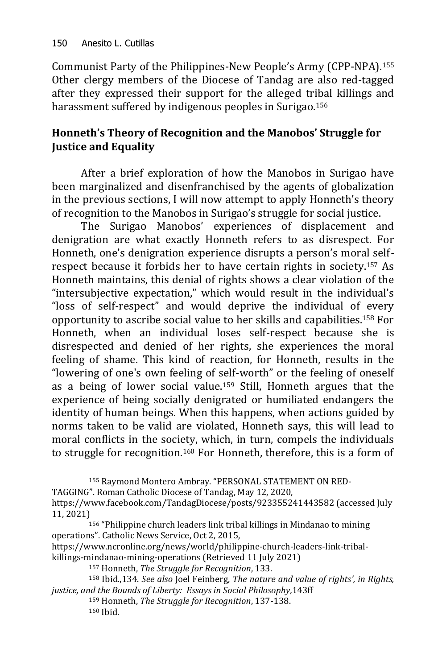-

Communist Party of the Philippines-New People's Army (CPP-NPA).<sup>155</sup> Other clergy members of the Diocese of Tandag are also red-tagged after they expressed their support for the alleged tribal killings and harassment suffered by indigenous peoples in Surigao. 156

# **Honneth's Theory of Recognition and the Manobos' Struggle for Justice and Equality**

After a brief exploration of how the Manobos in Surigao have been marginalized and disenfranchised by the agents of globalization in the previous sections, I will now attempt to apply Honneth's theory of recognition to the Manobos in Surigao's struggle for social justice.

The Surigao Manobos' experiences of displacement and denigration are what exactly Honneth refers to as disrespect. For Honneth, one's denigration experience disrupts a person's moral selfrespect because it forbids her to have certain rights in society.<sup>157</sup> As Honneth maintains, this denial of rights shows a clear violation of the "intersubjective expectation," which would result in the individual's "loss of self-respect" and would deprive the individual of every opportunity to ascribe social value to her skills and capabilities.<sup>158</sup> For Honneth, when an individual loses self-respect because she is disrespected and denied of her rights, she experiences the moral feeling of shame. This kind of reaction, for Honneth, results in the "lowering of one's own feeling of self-worth" or the feeling of oneself as a being of lower social value.<sup>159</sup> Still, Honneth argues that the experience of being socially denigrated or humiliated endangers the identity of human beings. When this happens, when actions guided by norms taken to be valid are violated, Honneth says, this will lead to moral conflicts in the society, which, in turn, compels the individuals to struggle for recognition.<sup>160</sup> For Honneth, therefore, this is a form of

<sup>155</sup> Raymond Montero Ambray. "PERSONAL STATEMENT ON RED-

TAGGING". Roman Catholic Diocese of Tandag, May 12, [2020,](../../Downloads/May 12, 2020) <https://www.facebook.com/TandagDiocese/posts/923355241443582> (accessed July 11, 2021)

[https://www.ncronline.org/news/world/philippine-church-leaders-link-tribal](https://www.ncronline.org/news/world/philippine-church-leaders-link-tribal-killings-mindanao-mining-operations)[killings-mindanao-mining-operations](https://www.ncronline.org/news/world/philippine-church-leaders-link-tribal-killings-mindanao-mining-operations) (Retrieved 11 July 2021)

<sup>158</sup> Ibid.,134. *See also* Joel Feinberg, *The nature and value of rights', in Rights, justice, and the Bounds of Liberty: Essays in Social Philosophy,*143ff

<sup>159</sup> Honneth, *The Struggle for Recognition*, 137-138. <sup>160</sup> Ibid.

<sup>156</sup> "Philippine church leaders link tribal killings in Mindanao to mining operations". [Catholic News Service,](https://www.ncronline.org/authors/catholic-news-service) Oct 2, 2015,

<sup>157</sup> Honneth, *The Struggle for Recognition*, 133.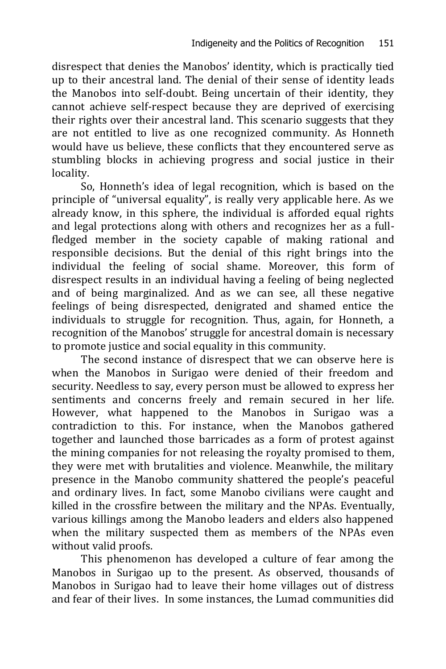disrespect that denies the Manobos' identity, which is practically tied up to their ancestral land. The denial of their sense of identity leads the Manobos into self-doubt. Being uncertain of their identity, they cannot achieve self-respect because they are deprived of exercising their rights over their ancestral land. This scenario suggests that they are not entitled to live as one recognized community. As Honneth would have us believe, these conflicts that they encountered serve as stumbling blocks in achieving progress and social justice in their locality.

So, Honneth's idea of legal recognition, which is based on the principle of "universal equality", is really very applicable here. As we already know, in this sphere, the individual is afforded equal rights and legal protections along with others and recognizes her as a fullfledged member in the society capable of making rational and responsible decisions. But the denial of this right brings into the individual the feeling of social shame. Moreover, this form of disrespect results in an individual having a feeling of being neglected and of being marginalized. And as we can see, all these negative feelings of being disrespected, denigrated and shamed entice the individuals to struggle for recognition. Thus, again, for Honneth, a recognition of the Manobos' struggle for ancestral domain is necessary to promote justice and social equality in this community.

The second instance of disrespect that we can observe here is when the Manobos in Surigao were denied of their freedom and security. Needless to say, every person must be allowed to express her sentiments and concerns freely and remain secured in her life. However, what happened to the Manobos in Surigao was a contradiction to this. For instance, when the Manobos gathered together and launched those barricades as a form of protest against the mining companies for not releasing the royalty promised to them, they were met with brutalities and violence. Meanwhile, the military presence in the Manobo community shattered the people's peaceful and ordinary lives. In fact, some Manobo civilians were caught and killed in the crossfire between the military and the NPAs. Eventually, various killings among the Manobo leaders and elders also happened when the military suspected them as members of the NPAs even without valid proofs.

This phenomenon has developed a culture of fear among the Manobos in Surigao up to the present. As observed, thousands of Manobos in Surigao had to leave their home villages out of distress and fear of their lives. In some instances, the Lumad communities did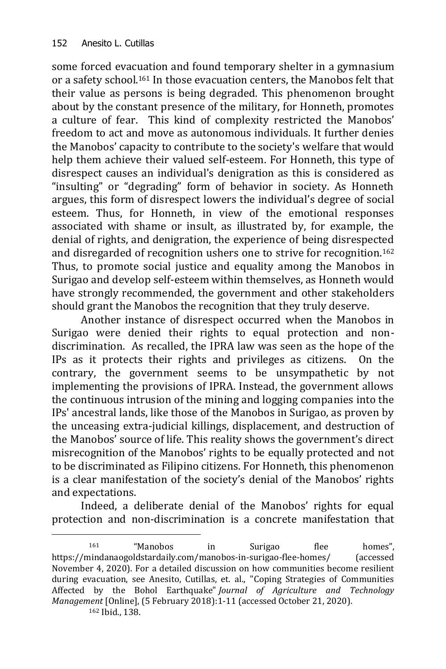some forced evacuation and found temporary shelter in a gymnasium or a safety school.<sup>161</sup> In those evacuation centers, the Manobos felt that their value as persons is being degraded. This phenomenon brought about by the constant presence of the military, for Honneth, promotes a culture of fear. This kind of complexity restricted the Manobos' freedom to act and move as autonomous individuals. It further denies the Manobos' capacity to contribute to the society's welfare that would help them achieve their valued self-esteem. For Honneth, this type of disrespect causes an individual's denigration as this is considered as "insulting" or "degrading" form of behavior in society. As Honneth argues, this form of disrespect lowers the individual's degree of social esteem. Thus, for Honneth, in view of the emotional responses associated with shame or insult, as illustrated by, for example, the denial of rights, and denigration, the experience of being disrespected and disregarded of recognition ushers one to strive for recognition.<sup>162</sup> Thus, to promote social justice and equality among the Manobos in Surigao and develop self-esteem within themselves, as Honneth would have strongly recommended, the government and other stakeholders should grant the Manobos the recognition that they truly deserve.

Another instance of disrespect occurred when the Manobos in Surigao were denied their rights to equal protection and nondiscrimination. As recalled, the IPRA law was seen as the hope of the IPs as it protects their rights and privileges as citizens. On the contrary, the government seems to be unsympathetic by not implementing the provisions of IPRA. Instead, the government allows the continuous intrusion of the mining and logging companies into the IPs' ancestral lands, like those of the Manobos in Surigao, as proven by the unceasing extra-judicial killings, displacement, and destruction of the Manobos' source of life. This reality shows the government's direct misrecognition of the Manobos' rights to be equally protected and not to be discriminated as Filipino citizens. For Honneth, this phenomenon is a clear manifestation of the society's denial of the Manobos' rights and expectations.

Indeed, a deliberate denial of the Manobos' rights for equal protection and non-discrimination is a concrete manifestation that

<sup>-</sup><sup>161</sup> "Manobos in Surigao flee homes", <https://mindanaogoldstardaily.com/manobos-in-surigao-flee-homes/> (accessed November 4, 2020). For a detailed discussion on how communities become resilient during evacuation, see Anesito, Cutillas, et. al., "Coping Strategies of Communities Affected by the Bohol Earthquake" *Journal of Agriculture and Technology Management* [Online], (5 February 2018):1-11 (accessed October 21, 2020).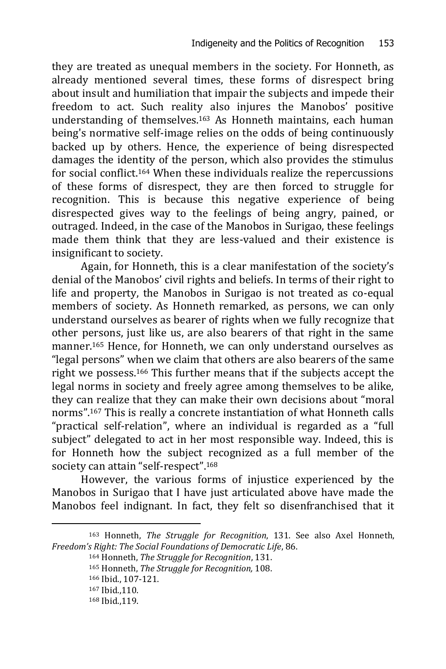they are treated as unequal members in the society. For Honneth, as already mentioned several times, these forms of disrespect bring about insult and humiliation that impair the subjects and impede their freedom to act. Such reality also injures the Manobos' positive understanding of themselves.<sup>163</sup> As Honneth maintains, each human being's normative self-image relies on the odds of being continuously backed up by others. Hence, the experience of being disrespected damages the identity of the person, which also provides the stimulus for social conflict.<sup>164</sup> When these individuals realize the repercussions of these forms of disrespect, they are then forced to struggle for recognition. This is because this negative experience of being disrespected gives way to the feelings of being angry, pained, or outraged. Indeed, in the case of the Manobos in Surigao, these feelings made them think that they are less-valued and their existence is insignificant to society.

Again, for Honneth, this is a clear manifestation of the society's denial of the Manobos' civil rights and beliefs. In terms of their right to life and property, the Manobos in Surigao is not treated as co-equal members of society. As Honneth remarked, as persons, we can only understand ourselves as bearer of rights when we fully recognize that other persons, just like us, are also bearers of that right in the same manner.<sup>165</sup> Hence, for Honneth, we can only understand ourselves as "legal persons" when we claim that others are also bearers of the same right we possess. <sup>166</sup> This further means that if the subjects accept the legal norms in society and freely agree among themselves to be alike, they can realize that they can make their own decisions about "moral norms".<sup>167</sup> This is really a concrete instantiation of what Honneth calls "practical self-relation", where an individual is regarded as a "full subject" delegated to act in her most responsible way. Indeed, this is for Honneth how the subject recognized as a full member of the society can attain "self-respect".<sup>168</sup>

However, the various forms of injustice experienced by the Manobos in Surigao that I have just articulated above have made the Manobos feel indignant. In fact, they felt so disenfranchised that it

<sup>163</sup> Honneth, *The Struggle for Recognition*, 131. See also Axel Honneth, *Freedom's Right: The Social Foundations of Democratic Life*, 86.

<sup>164</sup> Honneth, *The Struggle for Recognition*, 131.

<sup>165</sup> Honneth, *The Struggle for Recognition,* 108.

<sup>166</sup> Ibid., 107-121.

<sup>167</sup> Ibid.,110.

<sup>168</sup> Ibid.,119.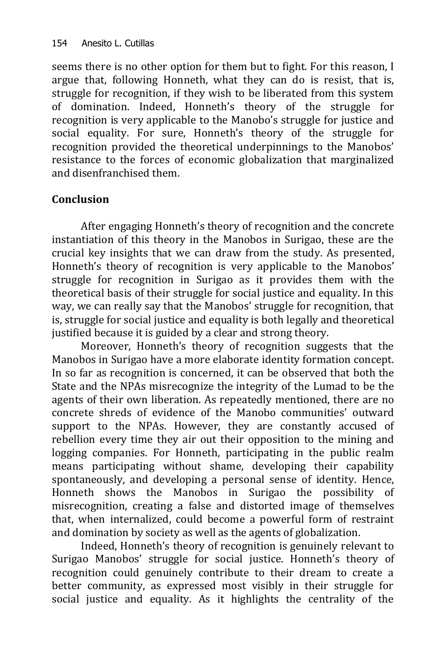seems there is no other option for them but to fight. For this reason, I argue that, following Honneth, what they can do is resist, that is, struggle for recognition, if they wish to be liberated from this system of domination. Indeed, Honneth's theory of the struggle for recognition is very applicable to the Manobo's struggle for justice and social equality. For sure, Honneth's theory of the struggle for recognition provided the theoretical underpinnings to the Manobos' resistance to the forces of economic globalization that marginalized and disenfranchised them.

# **Conclusion**

After engaging Honneth's theory of recognition and the concrete instantiation of this theory in the Manobos in Surigao, these are the crucial key insights that we can draw from the study. As presented, Honneth's theory of recognition is very applicable to the Manobos' struggle for recognition in Surigao as it provides them with the theoretical basis of their struggle for social justice and equality. In this way, we can really say that the Manobos' struggle for recognition, that is, struggle for social justice and equality is both legally and theoretical justified because it is guided by a clear and strong theory.

Moreover, Honneth's theory of recognition suggests that the Manobos in Surigao have a more elaborate identity formation concept. In so far as recognition is concerned, it can be observed that both the State and the NPAs misrecognize the integrity of the Lumad to be the agents of their own liberation. As repeatedly mentioned, there are no concrete shreds of evidence of the Manobo communities' outward support to the NPAs. However, they are constantly accused of rebellion every time they air out their opposition to the mining and logging companies. For Honneth, participating in the public realm means participating without shame, developing their capability spontaneously, and developing a personal sense of identity. Hence, Honneth shows the Manobos in Surigao the possibility of misrecognition, creating a false and distorted image of themselves that, when internalized, could become a powerful form of restraint and domination by society as well as the agents of globalization.

Indeed, Honneth's theory of recognition is genuinely relevant to Surigao Manobos' struggle for social justice. Honneth's theory of recognition could genuinely contribute to their dream to create a better community, as expressed most visibly in their struggle for social justice and equality. As it highlights the centrality of the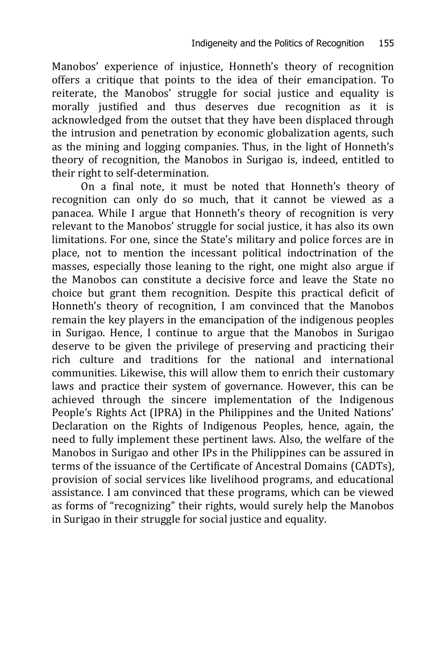Manobos' experience of injustice, Honneth's theory of recognition offers a critique that points to the idea of their emancipation. To reiterate, the Manobos' struggle for social justice and equality is morally justified and thus deserves due recognition as it is acknowledged from the outset that they have been displaced through the intrusion and penetration by economic globalization agents, such as the mining and logging companies. Thus, in the light of Honneth's theory of recognition, the Manobos in Surigao is, indeed, entitled to their right to self-determination.

On a final note, it must be noted that Honneth's theory of recognition can only do so much, that it cannot be viewed as a panacea. While I argue that Honneth's theory of recognition is very relevant to the Manobos' struggle for social justice, it has also its own limitations. For one, since the State's military and police forces are in place, not to mention the incessant political indoctrination of the masses, especially those leaning to the right, one might also argue if the Manobos can constitute a decisive force and leave the State no choice but grant them recognition. Despite this practical deficit of Honneth's theory of recognition, I am convinced that the Manobos remain the key players in the emancipation of the indigenous peoples in Surigao. Hence, I continue to argue that the Manobos in Surigao deserve to be given the privilege of preserving and practicing their rich culture and traditions for the national and international communities. Likewise, this will allow them to enrich their customary laws and practice their system of governance. However, this can be achieved through the sincere implementation of the Indigenous People's Rights Act (IPRA) in the Philippines and the United Nations' Declaration on the Rights of Indigenous Peoples, hence, again, the need to fully implement these pertinent laws. Also, the welfare of the Manobos in Surigao and other IPs in the Philippines can be assured in terms of the issuance of the Certificate of Ancestral Domains (CADTs), provision of social services like livelihood programs, and educational assistance. I am convinced that these programs, which can be viewed as forms of "recognizing" their rights, would surely help the Manobos in Surigao in their struggle for social justice and equality.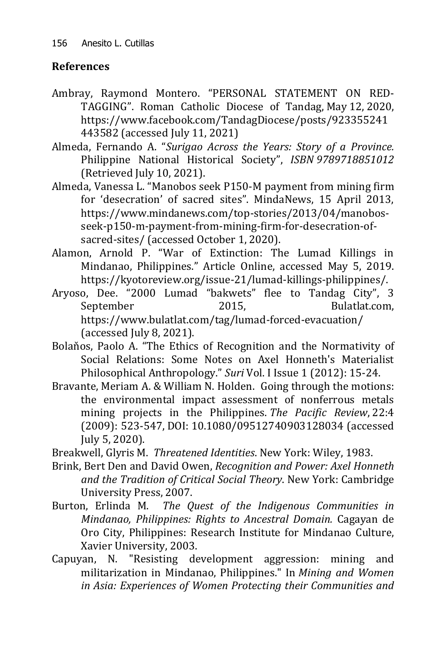# **References**

- Ambray, Raymond Montero. "PERSONAL STATEMENT ON RED-TAGGING". Roman Catholic Diocese of Tandag, May 12, [2020,](../../Downloads/May 12, 2020)  [https://www.facebook.com/TandagDiocese/posts/923355241](https://www.facebook.com/TandagDiocese/posts/923355241443582) [443582](https://www.facebook.com/TandagDiocese/posts/923355241443582) (accessed July 11, 2021)
- Almeda, Fernando A. "*Surigao Across the Years: Story of a Province.*  Philippine National Historical Society", *[ISBN](https://en.wikipedia.org/wiki/ISBN_(identifier)) [9789718851012](https://en.wikipedia.org/wiki/Special:BookSources/9789718851012)* (Retrieved July 10, 2021).
- Almeda, Vanessa L. "Manobos seek P150-M payment from mining firm for 'desecration' of sacred sites". MindaNews, 15 April 2013, [https://www.mindanews.com/top-stories/2013/04/manobos](https://www.mindanews.com/top-stories/2013/04/manobos-seek-p150-m-payment-from-mining-firm-for-desecration-of-sacred-sites/)[seek-p150-m-payment-from-mining-firm-for-desecration-of](https://www.mindanews.com/top-stories/2013/04/manobos-seek-p150-m-payment-from-mining-firm-for-desecration-of-sacred-sites/)[sacred-sites/](https://www.mindanews.com/top-stories/2013/04/manobos-seek-p150-m-payment-from-mining-firm-for-desecration-of-sacred-sites/) (accessed October 1, 2020).
- Alamon, Arnold P. "War of Extinction: The Lumad Killings in Mindanao, Philippines." Article Online, accessed May 5, 2019. [https://kyotoreview.org/issue-21/lumad-killings-philippines/.](https://kyotoreview.org/issue-21/lumad-killings-philippines/)
- Aryoso, Dee. "2000 Lumad "bakwets" flee to Tandag City", 3 September 2015, Bulatlat.com, <https://www.bulatlat.com/tag/lumad-forced-evacuation/> (accessed July 8, 2021).
- Bolaňos, Paolo A. "The Ethics of Recognition and the Normativity of Social Relations: Some Notes on Axel Honneth's Materialist Philosophical Anthropology." *Suri* Vol. I Issue 1 (2012): 15-24.
- Bravante, Meriam A. & William N. Holden. Going through the motions: the environmental impact assessment of nonferrous metals mining projects in the Philippines. *The Pacific Review*, 22:4 (2009): 523-547, DOI: [10.1080/09512740903128034](https://doi.org/10.1080/09512740903128034) (accessed July 5, 2020).
- Breakwell, Glyris M. *Threatened Identities*. New York: Wiley, 1983.
- Brink, Bert Den and David Owen, *Recognition and Power: Axel Honneth and the Tradition of Critical Social Theory*. New York: Cambridge University Press, 2007.
- Burton, Erlinda M. *The Quest of the Indigenous Communities in Mindanao, Philippines: Rights to Ancestral Domain.* Cagayan de Oro City, Philippines: Research Institute for Mindanao Culture, Xavier University, 2003.
- Capuyan, N. "Resisting development aggression: mining and militarization in Mindanao, Philippines." In *Mining and Women in Asia: Experiences of Women Protecting their Communities and*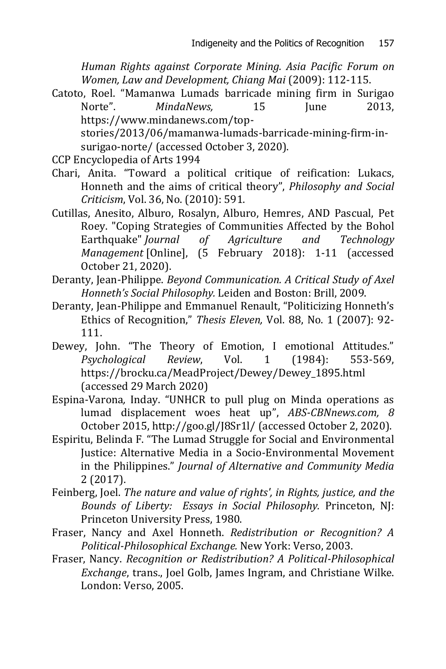*Human Rights against Corporate Mining. Asia Pacific Forum on Women, Law and Development, Chiang Mai* (2009): 112-115.

Catoto, Roel. "Mamanwa Lumads barricade mining firm in Surigao Norte". *MindaNews.* 15 Iune 2013. [https://www.mindanews.com/top-](https://www.mindanews.com/top-stories/2013/06/mamanwa-lumads-barricade-mining-firm-in-surigao-norte/)

[stories/2013/06/mamanwa-lumads-barricade-mining-firm-in](https://www.mindanews.com/top-stories/2013/06/mamanwa-lumads-barricade-mining-firm-in-surigao-norte/)[surigao-norte/](https://www.mindanews.com/top-stories/2013/06/mamanwa-lumads-barricade-mining-firm-in-surigao-norte/) (accessed October 3, 2020).

- CCP Encyclopedia of Arts 1994
- Chari, Anita. "Toward a political critique of reification: Lukacs, Honneth and the aims of critical theory", *Philosophy and Social Criticism*, Vol. 36, No. (2010): 591.
- Cutillas, Anesito, Alburo, Rosalyn, Alburo, Hemres, AND Pascual, Pet Roey. "Coping Strategies of Communities Affected by the Bohol Earthquake" *Journal of Agriculture and Technology Management* [Online], (5 February 2018): 1-11 (accessed October 21, 2020).
- Deranty, Jean-Philippe. *Beyond Communication. A Critical Study of Axel Honneth's Social Philosophy.* Leiden and Boston: Brill, 2009.
- Deranty, Jean-Philippe and Emmanuel Renault, "Politicizing Honneth's Ethics of Recognition," *Thesis Eleven,* Vol. 88, No. 1 (2007): 92- 111.
- Dewey, John. "The Theory of Emotion, I emotional Attitudes." *Psychological Review*, Vol. 1 (1984): 553-569, [https://brocku.ca/MeadProject/Dewey/Dewey\\_1895.html](https://brocku.ca/MeadProject/Dewey/Dewey_1895.html) (accessed 29 March 2020)
- Espina-Varona*,* Inday. "UNHCR to pull plug on Minda operations as lumad displacement woes heat up", *ABS-CBNnews.com, 8* October 2015[, http://goo.gl/J8Sr1l/](http://goo.gl/J8Sr1l/) (accessed October 2, 2020).
- Espiritu, Belinda F. "The Lumad Struggle for Social and Environmental Justice: Alternative Media in a Socio-Environmental Movement in the Philippines." *Journal of Alternative and Community Media* 2 (2017).
- Feinberg, Joel. *The nature and value of rights', in Rights, justice, and the Bounds of Liberty: Essays in Social Philosophy.* Princeton, NJ: Princeton University Press, 1980.
- Fraser, Nancy and Axel Honneth. *Redistribution or Recognition? A Political-Philosophical Exchange.* New York: Verso, 2003.
- Fraser, Nancy. *Recognition or Redistribution? A Political-Philosophical Exchange*, trans., Joel Golb, James Ingram, and Christiane Wilke. London: Verso, 2005.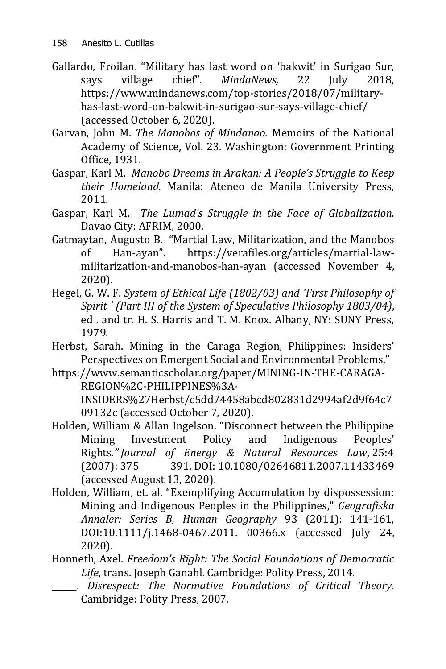- Gallardo, Froilan. "Military has last word on 'bakwit' in Surigao Sur, says village chief". *MindaNews,* 22 July 2018, [https://www.mindanews.com/top-stories/2018/07/military](https://www.mindanews.com/top-stories/2018/07/military-has-last-word-on-bakwit-in-surigao-sur-says-village-chief/)[has-last-word-on-bakwit-in-surigao-sur-says-village-chief/](https://www.mindanews.com/top-stories/2018/07/military-has-last-word-on-bakwit-in-surigao-sur-says-village-chief/) (accessed October 6, 2020).
- Garvan, John M. *The Manobos of Mindanao.* Memoirs of the National Academy of Science, Vol. 23. Washington: Government Printing Office, 1931.
- Gaspar, Karl M. *Manobo Dreams in Arakan: A People's Struggle to Keep their Homeland.* Manila: Ateneo de Manila University Press, 2011.
- Gaspar, Karl M. *The Lumad's Struggle in the Face of Globalization.*  Davao City: AFRIM, 2000.
- Gatmaytan, Augusto B. "Martial Law, Militarization, and the Manobos of Han-ayan". [https://verafiles.org/articles/martial-law](https://verafiles.org/articles/martial-law-militarization-and-manobos-han-ayan)[militarization-and-manobos-han-ayan](https://verafiles.org/articles/martial-law-militarization-and-manobos-han-ayan) (accessed November 4, 2020).
- Hegel, G. W. F. *System of Ethical Life (1802/03) and 'First Philosophy of Spirit ' (Part III of the System of Speculative Philosophy 1803/04)*, ed . and tr. H. S. Harris and T. M. Knox. Albany, NY: SUNY Press, 1979.
- Herbst, Sarah. Mining in the Caraga Region, Philippines: Insiders' Perspectives on Emergent Social and Environmental Problems,"
- [https://www.semanticscholar.org/paper/MINING-IN-THE-CARAGA-](https://www.semanticscholar.org/paper/MINING-IN-THE-CARAGA-REGION%2C-PHILIPPINES%3A-INSIDERS%27Herbst/c5dd74458abcd802831d2994af2d9f64c709132c)[REGION%2C-PHILIPPINES%3A-](https://www.semanticscholar.org/paper/MINING-IN-THE-CARAGA-REGION%2C-PHILIPPINES%3A-INSIDERS%27Herbst/c5dd74458abcd802831d2994af2d9f64c709132c)[INSIDERS%27Herbst/c5dd74458abcd802831d2994af2d9f64c7](https://www.semanticscholar.org/paper/MINING-IN-THE-CARAGA-REGION%2C-PHILIPPINES%3A-INSIDERS%27Herbst/c5dd74458abcd802831d2994af2d9f64c709132c) [09132c](https://www.semanticscholar.org/paper/MINING-IN-THE-CARAGA-REGION%2C-PHILIPPINES%3A-INSIDERS%27Herbst/c5dd74458abcd802831d2994af2d9f64c709132c) (accessed October 7, 2020).
- Holden, William & Allan Ingelson. "Disconnect between the Philippine Mining Investment Policy and Indigenous Peoples' Rights.*" Journal of Energy & Natural Resources Law*, 25:4 (2007): 375 391, DOI: [10.1080/02646811.2007.11433469](https://doi.org/10.1080/02646811.2007.11433469) (accessed August 13, 2020).
- Holden, William, et. al. "Exemplifying Accumulation by dispossession: Mining and Indigenous Peoples in the Philippines," *Geografiska Annaler: Series B, Human Geography* 93 (2011): 141-161, DOI[:10.1111/j.1468-0467.2011. 00366.x](https://doi.org/10.1111/j.1468-0467.2011.00366.x) (accessed July 24, 2020).
- Honneth, Axel. *Freedom's Right: The Social Foundations of Democratic Life*, trans. Joseph Ganahl. Cambridge: Polity Press, 2014.
	- \_\_\_\_\_\_. *Disrespect: The Normative Foundations of Critical Theory.*  Cambridge: Polity Press, 2007.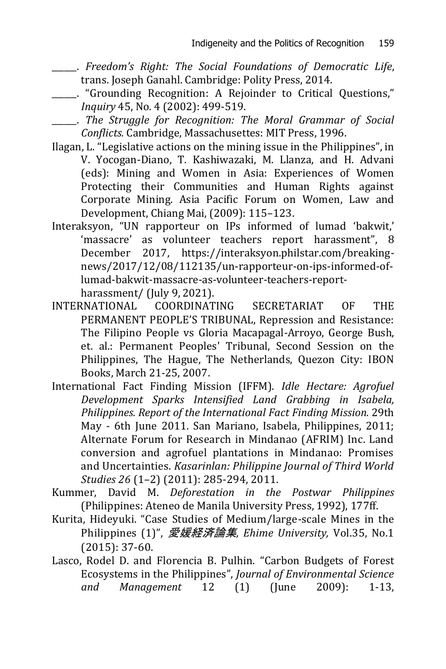- \_\_\_\_\_\_. *Freedom's Right: The Social Foundations of Democratic Life*, trans. Joseph Ganahl. Cambridge: Polity Press, 2014.
	- \_\_\_\_\_\_. "Grounding Recognition: A Rejoinder to Critical Questions," *Inquiry* 45, No. 4 (2002): 499-519.
- \_\_\_\_\_\_. *The Struggle for Recognition: The Moral Grammar of Social Conflicts.* Cambridge, Massachusettes: MIT Press, 1996.
- Ilagan, L. "Legislative actions on the mining issue in the Philippines", in V. Yocogan-Diano, T. Kashiwazaki, M. Llanza, and H. Advani (eds): Mining and Women in Asia: Experiences of Women Protecting their Communities and Human Rights against Corporate Mining. Asia Pacific Forum on Women, Law and Development, Chiang Mai, (2009): 115–123.
- [Interaksyon](https://interaksyon.philstar.com/author/interaksyon/), "UN rapporteur on IPs informed of lumad 'bakwit,' 'massacre' as volunteer teachers report harassment", 8 December 2017, [https://interaksyon.philstar.com/breaking](https://interaksyon.philstar.com/breaking-news/2017/12/08/112135/un-rapporteur-on-ips-informed-of-lumad-bakwit-massacre-as-volunteer-teachers-report-harassment/)[news/2017/12/08/112135/un-rapporteur-on-ips-informed-of](https://interaksyon.philstar.com/breaking-news/2017/12/08/112135/un-rapporteur-on-ips-informed-of-lumad-bakwit-massacre-as-volunteer-teachers-report-harassment/)[lumad-bakwit-massacre-as-volunteer-teachers-report-](https://interaksyon.philstar.com/breaking-news/2017/12/08/112135/un-rapporteur-on-ips-informed-of-lumad-bakwit-massacre-as-volunteer-teachers-report-harassment/)

[harassment/](https://interaksyon.philstar.com/breaking-news/2017/12/08/112135/un-rapporteur-on-ips-informed-of-lumad-bakwit-massacre-as-volunteer-teachers-report-harassment/) (July 9, 2021).

- INTERNATIONAL COORDINATING SECRETARIAT OF THE PERMANENT PEOPLE'S TRIBUNAL, Repression and Resistance: The Filipino People vs Gloria Macapagal-Arroyo, George Bush, et. al.: Permanent Peoples' Tribunal, Second Session on the Philippines, The Hague, The Netherlands, Quezon City: IBON Books, March 21-25, 2007.
- International Fact Finding Mission (IFFM). *Idle Hectare: Agrofuel Development Sparks Intensified Land Grabbing in Isabela, Philippines. Report of the International Fact Finding Mission.* 29th May - 6th June 2011. San Mariano, Isabela, Philippines, 2011; Alternate Forum for Research in Mindanao (AFRIM) Inc. Land conversion and agrofuel plantations in Mindanao: Promises and Uncertainties. *Kasarinlan: Philippine Journal of Third World Studies 26* (1–2) (2011): 285-294, 2011.
- Kummer, David M. *Deforestation in the Postwar Philippines* (Philippines: Ateneo de Manila University Press, 1992), 177ff.
- Kurita, Hideyuki. "Case Studies of Medium/large-scale Mines in the Philippines (1)", 愛媛経済論集*, Ehime University,* Vol.35, No.1 (2015): 37-60.
- Lasco, Rodel D. and Florencia B. Pulhin. "Carbon Budgets of Forest Ecosystems in the Philippines", *Journal of Environmental Science and Management* 12 (1) (June 2009): 1-13,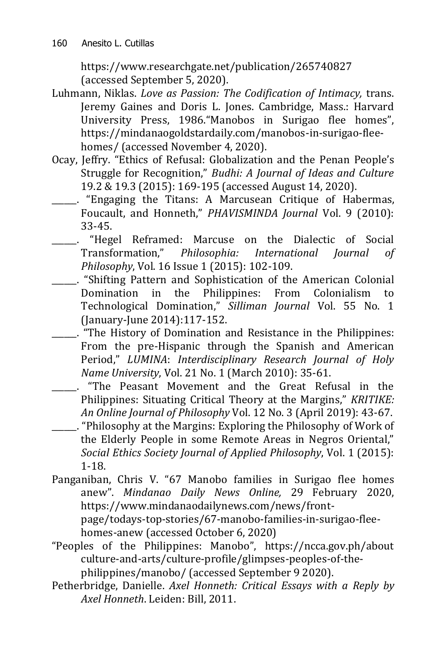<https://www.researchgate.net/publication/265740827> (accessed September 5, 2020).

- Luhmann, Niklas. *Love as Passion: The Codification of Intimacy,* trans. Jeremy Gaines and Doris L. Jones. Cambridge, Mass.: Harvard University Press, 1986."Manobos in Surigao flee homes", [https://mindanaogoldstardaily.com/manobos-in-surigao-flee](https://mindanaogoldstardaily.com/manobos-in-surigao-flee-homes/)[homes/](https://mindanaogoldstardaily.com/manobos-in-surigao-flee-homes/) (accessed November 4, 2020).
- Ocay, Jeffry. "Ethics of Refusal: Globalization and the Penan People's Struggle for Recognition," *Budhi: A Journal of Ideas and Culture* 19.2 & 19.3 (2015): 169-195 (accessed August 14, 2020).
- \_\_\_\_\_\_. "Engaging the Titans: A Marcusean Critique of Habermas, Foucault, and Honneth," *PHAVISMINDA Journal* Vol. 9 (2010): 33-45.
- \_\_\_\_\_\_. "Hegel Reframed: Marcuse on the Dialectic of Social Transformation," *Philosophia: International Journal of Philosophy*, Vol. 16 Issue 1 (2015): 102-109.
- \_\_\_\_\_\_. "Shifting Pattern and Sophistication of the American Colonial Domination in the Philippines: From Colonialism to Technological Domination," *Silliman Journal* Vol. 55 No. 1 (January-June 2014):117-152.
- \_\_\_\_\_\_. "The History of Domination and Resistance in the Philippines: From the pre-Hispanic through the Spanish and American Period," *LUMINA*: *Interdisciplinary Research Journal of Holy Name University*, Vol. 21 No. 1 (March 2010): 35-61.
	- \_\_\_\_\_\_. "The Peasant Movement and the Great Refusal in the Philippines: Situating Critical Theory at the Margins," *KRITIKE: An Online Journal of Philosophy* Vol. 12 No. 3 (April 2019): 43-67.
	- \_\_\_\_\_\_. "Philosophy at the Margins: Exploring the Philosophy of Work of the Elderly People in some Remote Areas in Negros Oriental," *Social Ethics Society Journal of Applied Philosophy*, Vol. 1 (2015): 1-18.
- Panganiban, Chris V. "67 Manobo families in Surigao flee homes anew". *Mindanao Daily News Online,* 29 February 2020, [https://www.mindanaodailynews.com/news/front](https://www.mindanaodailynews.com/news/front-page/todays-top-stories/67-manobo-families-in-surigao-flee-homes-anew)[page/todays-top-stories/67-manobo-families-in-surigao-flee](https://www.mindanaodailynews.com/news/front-page/todays-top-stories/67-manobo-families-in-surigao-flee-homes-anew)[homes-anew](https://www.mindanaodailynews.com/news/front-page/todays-top-stories/67-manobo-families-in-surigao-flee-homes-anew) (accessed October 6, 2020)
- "Peoples of the Philippines: Manobo", [https://ncca.gov.ph/about](https://ncca.gov.ph/about-culture-and-arts/culture-profile/glimpses-peoples-of-the-philippines/manobo/)  [culture-and-arts/culture-profile/glimpses-peoples-of-the](https://ncca.gov.ph/about-culture-and-arts/culture-profile/glimpses-peoples-of-the-philippines/manobo/)[philippines/manobo/](https://ncca.gov.ph/about-culture-and-arts/culture-profile/glimpses-peoples-of-the-philippines/manobo/) (accessed September 9 2020).
- Petherbridge, Danielle. *Axel Honneth: Critical Essays with a Reply by Axel Honneth*. Leiden: Bill, 2011.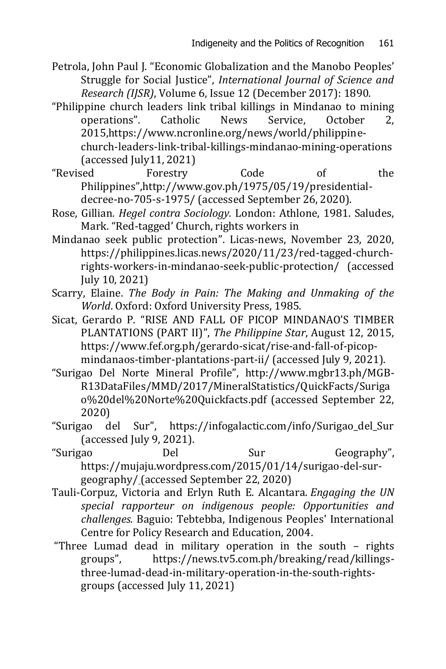Petrola, John Paul J. "Economic Globalization and the Manobo Peoples' Struggle for Social Justice", *International Journal of Science and Research (IJSR)*, Volume 6, Issue 12 (December 2017): 1890.

"Philippine church leaders link tribal killings in Mindanao to mining operations". [Catholic News Service,](../../Downloads/Catholic%20%20%20%20%20News%20Service) October 2, 2015[,https://www.ncronline.org/news/world/philippine](https://www.ncronline.org/news/world/philippine-church-leaders-link-tribal-killings-mindanao-mining-operations)[church-leaders-link-tribal-killings-mindanao-mining-operations](https://www.ncronline.org/news/world/philippine-church-leaders-link-tribal-killings-mindanao-mining-operations) (accessed July11, 2021)

- "Revised Forestry Code of the Philippines",[http://www.gov.ph/1975/05/19/presidential](http://www.gov.ph/1975/05/19/presidential-decree-no-)[decree-no-7](http://www.gov.ph/1975/05/19/presidential-decree-no-)05-s-1975/ (accessed September 26, 2020).
- Rose, Gillian*. Hegel contra Sociology.* London: Athlone, 1981. Saludes, Mark. "Red-tagged' Church, rights workers in
- Mindanao seek public protection". Licas-news, November 23, 2020, [https://philippines.licas.news/2020/11/23/red-tagged-church](https://philippines.licas.news/2020/11/23/red-tagged-church-rights-workers-in-mindanao-seek-public-protection/)[rights-workers-in-mindanao-seek-public-protection/](https://philippines.licas.news/2020/11/23/red-tagged-church-rights-workers-in-mindanao-seek-public-protection/) (accessed July 10, 2021)
- Scarry, Elaine. *The Body in Pain: The Making and Unmaking of the World*. Oxford: Oxford University Press, 1985.
- Sicat, Gerardo P. "RISE AND FALL OF PICOP MINDANAO'S TIMBER PLANTATIONS (PART II)", *The Philippine Star*, August 12, 2015, [https://www.fef.org.ph/gerardo-sicat/rise-and-fall-of-picop](https://www.fef.org.ph/gerardo-sicat/rise-and-fall-of-picop-mindanaos-timber-plantations-part-ii/)[mindanaos-timber-plantations-part-ii/](https://www.fef.org.ph/gerardo-sicat/rise-and-fall-of-picop-mindanaos-timber-plantations-part-ii/) (accessed July 9, 2021).
- "Surigao Del Norte Mineral Profile", [http://www.mgbr13.ph/MGB-](http://www.mgbr13.ph/MGB-R13DataFiles/MMD/2017/MineralStatistics/QuickFacts/Surigao%20del%20Norte%20Quickfacts.pdf)[R13DataFiles/MMD/2017/MineralStatistics/QuickFacts/Suriga](http://www.mgbr13.ph/MGB-R13DataFiles/MMD/2017/MineralStatistics/QuickFacts/Surigao%20del%20Norte%20Quickfacts.pdf) [o%20del%20Norte%20Quickfacts.pdf](http://www.mgbr13.ph/MGB-R13DataFiles/MMD/2017/MineralStatistics/QuickFacts/Surigao%20del%20Norte%20Quickfacts.pdf) (accessed September 22, 2020)
- "Surigao del Sur", [https://infogalactic.com/info/Surigao\\_del\\_Sur](https://infogalactic.com/info/Surigao_del_Sur) (accessed July 9, 2021).
- "Surigao Del Sur Geography", [https://mujaju.wordpress.com/2015/01/14/surigao-del-sur](https://mujaju.wordpress.com/2015/01/14/surigao-del-sur-geography/)[geography/](https://mujaju.wordpress.com/2015/01/14/surigao-del-sur-geography/) (accessed September 22, 2020)
- Tauli-Corpuz, Victoria and Erlyn Ruth E. Alcantara. *Engaging the UN special rapporteur on indigenous people: Opportunities and challenges.* Baguio: Tebtebba, Indigenous Peoples' International Centre for Policy Research and Education, 2004.
- "Three Lumad dead in military operation in the south rights groups", [https://news.tv5.com.ph/breaking/read/killings](https://news.tv5.com.ph/breaking/read/killings-three-lumad-dead-in-military-operation-in-the-south-rights-groups)[three-lumad-dead-in-military-operation-in-the-south-rights](https://news.tv5.com.ph/breaking/read/killings-three-lumad-dead-in-military-operation-in-the-south-rights-groups)[groups](https://news.tv5.com.ph/breaking/read/killings-three-lumad-dead-in-military-operation-in-the-south-rights-groups) (accessed July 11, 2021)